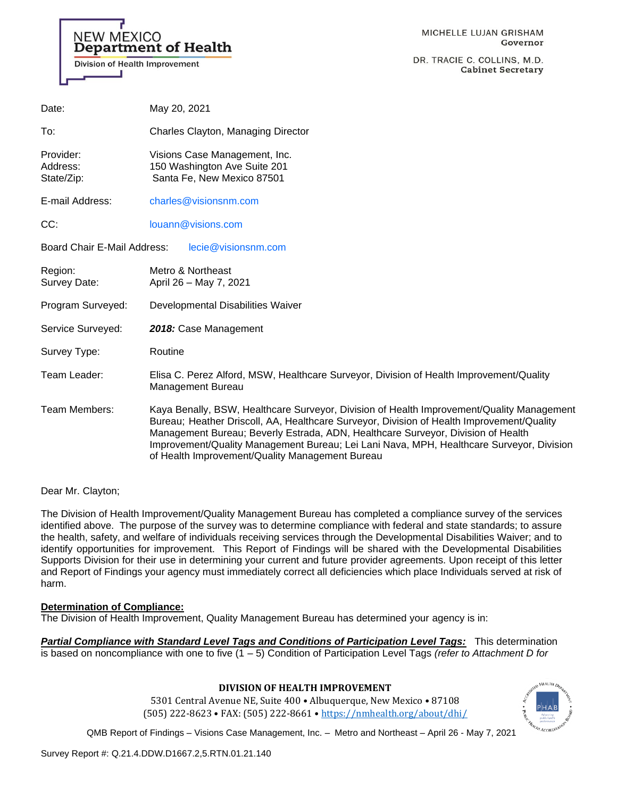

DR. TRACIE C. COLLINS, M.D. **Cabinet Secretary** 

| Date:                               | May 20, 2021                                                                                                                                                                                                                                                                                                                                                                                                              |
|-------------------------------------|---------------------------------------------------------------------------------------------------------------------------------------------------------------------------------------------------------------------------------------------------------------------------------------------------------------------------------------------------------------------------------------------------------------------------|
| To:                                 | Charles Clayton, Managing Director                                                                                                                                                                                                                                                                                                                                                                                        |
| Provider:<br>Address:<br>State/Zip: | Visions Case Management, Inc.<br>150 Washington Ave Suite 201<br>Santa Fe, New Mexico 87501                                                                                                                                                                                                                                                                                                                               |
| E-mail Address:                     | charles@visionsnm.com                                                                                                                                                                                                                                                                                                                                                                                                     |
| CC:                                 | louann@visions.com                                                                                                                                                                                                                                                                                                                                                                                                        |
| Board Chair E-Mail Address:         | lecie@visionsnm.com                                                                                                                                                                                                                                                                                                                                                                                                       |
| Region:<br>Survey Date:             | Metro & Northeast<br>April 26 - May 7, 2021                                                                                                                                                                                                                                                                                                                                                                               |
| Program Surveyed:                   | Developmental Disabilities Waiver                                                                                                                                                                                                                                                                                                                                                                                         |
| Service Surveyed:                   | 2018: Case Management                                                                                                                                                                                                                                                                                                                                                                                                     |
| Survey Type:                        | Routine                                                                                                                                                                                                                                                                                                                                                                                                                   |
| Team Leader:                        | Elisa C. Perez Alford, MSW, Healthcare Surveyor, Division of Health Improvement/Quality<br>Management Bureau                                                                                                                                                                                                                                                                                                              |
| Team Members:                       | Kaya Benally, BSW, Healthcare Surveyor, Division of Health Improvement/Quality Management<br>Bureau; Heather Driscoll, AA, Healthcare Surveyor, Division of Health Improvement/Quality<br>Management Bureau; Beverly Estrada, ADN, Healthcare Surveyor, Division of Health<br>Improvement/Quality Management Bureau; Lei Lani Nava, MPH, Healthcare Surveyor, Division<br>of Health Improvement/Quality Management Bureau |

Dear Mr. Clayton;

The Division of Health Improvement/Quality Management Bureau has completed a compliance survey of the services identified above. The purpose of the survey was to determine compliance with federal and state standards; to assure the health, safety, and welfare of individuals receiving services through the Developmental Disabilities Waiver; and to identify opportunities for improvement. This Report of Findings will be shared with the Developmental Disabilities Supports Division for their use in determining your current and future provider agreements. Upon receipt of this letter and Report of Findings your agency must immediately correct all deficiencies which place Individuals served at risk of harm.

### **Determination of Compliance:**

The Division of Health Improvement, Quality Management Bureau has determined your agency is in:

*Partial Compliance with Standard Level Tags and Conditions of Participation Level Tags:* This determination is based on noncompliance with one to five (1 – 5) Condition of Participation Level Tags *(refer to Attachment D for* 

### **DIVISION OF HEALTH IMPROVEMENT**

5301 Central Avenue NE, Suite 400 • Albuquerque, New Mexico • 87108 (505) 222-8623 • FAX: (505) 222-8661 • <https://nmhealth.org/about/dhi/>

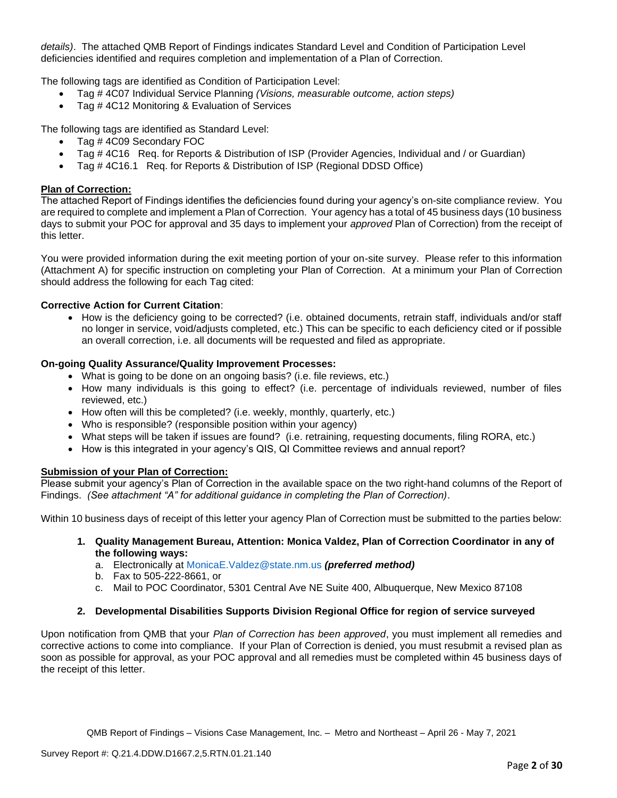*details)*. The attached QMB Report of Findings indicates Standard Level and Condition of Participation Level deficiencies identified and requires completion and implementation of a Plan of Correction.

The following tags are identified as Condition of Participation Level:

- Tag # 4C07 Individual Service Planning *(Visions, measurable outcome, action steps)*
- Tag # 4C12 Monitoring & Evaluation of Services

The following tags are identified as Standard Level:

- Tag # 4C09 Secondary FOC
- Tag # 4C16 Req. for Reports & Distribution of ISP (Provider Agencies, Individual and / or Guardian)
- Tag # 4C16.1 Req. for Reports & Distribution of ISP (Regional DDSD Office)

## **Plan of Correction:**

The attached Report of Findings identifies the deficiencies found during your agency's on-site compliance review. You are required to complete and implement a Plan of Correction. Your agency has a total of 45 business days (10 business days to submit your POC for approval and 35 days to implement your *approved* Plan of Correction) from the receipt of this letter.

You were provided information during the exit meeting portion of your on-site survey. Please refer to this information (Attachment A) for specific instruction on completing your Plan of Correction. At a minimum your Plan of Correction should address the following for each Tag cited:

# **Corrective Action for Current Citation**:

• How is the deficiency going to be corrected? (i.e. obtained documents, retrain staff, individuals and/or staff no longer in service, void/adjusts completed, etc.) This can be specific to each deficiency cited or if possible an overall correction, i.e. all documents will be requested and filed as appropriate.

# **On-going Quality Assurance/Quality Improvement Processes:**

- What is going to be done on an ongoing basis? (i.e. file reviews, etc.)
- How many individuals is this going to effect? (i.e. percentage of individuals reviewed, number of files reviewed, etc.)
- How often will this be completed? (i.e. weekly, monthly, quarterly, etc.)
- Who is responsible? (responsible position within your agency)
- What steps will be taken if issues are found? (i.e. retraining, requesting documents, filing RORA, etc.)
- How is this integrated in your agency's QIS, QI Committee reviews and annual report?

### **Submission of your Plan of Correction:**

Please submit your agency's Plan of Correction in the available space on the two right-hand columns of the Report of Findings. *(See attachment "A" for additional guidance in completing the Plan of Correction)*.

Within 10 business days of receipt of this letter your agency Plan of Correction must be submitted to the parties below:

- **1. Quality Management Bureau, Attention: Monica Valdez, Plan of Correction Coordinator in any of the following ways:**
	- a. Electronically at [MonicaE.Valdez@state.nm.us](mailto:MonicaE.Valdez@state.nm.us) *(preferred method)*
	- b. Fax to 505-222-8661, or
	- c. Mail to POC Coordinator, 5301 Central Ave NE Suite 400, Albuquerque, New Mexico 87108

### **2. Developmental Disabilities Supports Division Regional Office for region of service surveyed**

Upon notification from QMB that your *Plan of Correction has been approved*, you must implement all remedies and corrective actions to come into compliance. If your Plan of Correction is denied, you must resubmit a revised plan as soon as possible for approval, as your POC approval and all remedies must be completed within 45 business days of the receipt of this letter.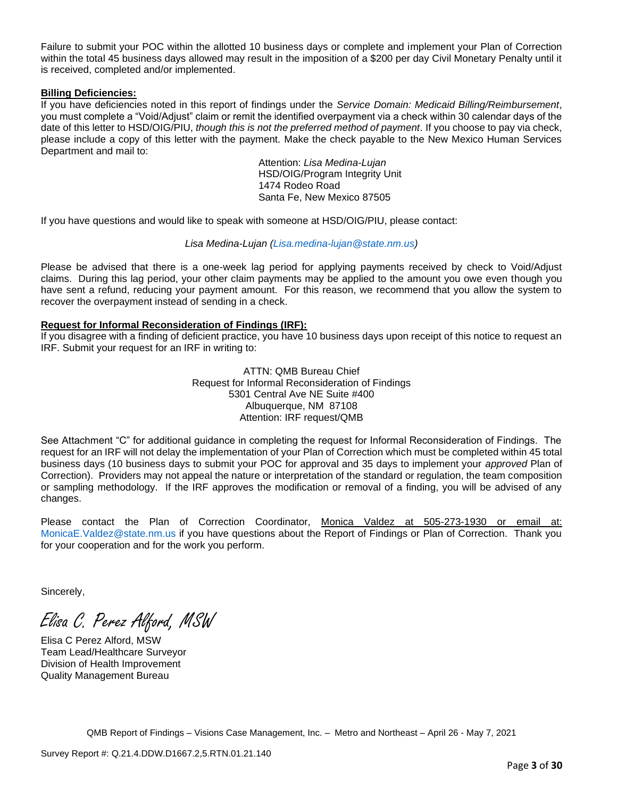Failure to submit your POC within the allotted 10 business days or complete and implement your Plan of Correction within the total 45 business days allowed may result in the imposition of a \$200 per day Civil Monetary Penalty until it is received, completed and/or implemented.

### **Billing Deficiencies:**

If you have deficiencies noted in this report of findings under the *Service Domain: Medicaid Billing/Reimbursement*, you must complete a "Void/Adjust" claim or remit the identified overpayment via a check within 30 calendar days of the date of this letter to HSD/OIG/PIU, *though this is not the preferred method of payment*. If you choose to pay via check, please include a copy of this letter with the payment. Make the check payable to the New Mexico Human Services Department and mail to:

> Attention: *Lisa Medina-Lujan* HSD/OIG/Program Integrity Unit 1474 Rodeo Road Santa Fe, New Mexico 87505

If you have questions and would like to speak with someone at HSD/OIG/PIU, please contact:

# *Lisa Medina-Lujan [\(Lisa.medina-lujan@state.nm.us\)](mailto:Lisa.medina-lujan@state.nm.us)*

Please be advised that there is a one-week lag period for applying payments received by check to Void/Adjust claims. During this lag period, your other claim payments may be applied to the amount you owe even though you have sent a refund, reducing your payment amount. For this reason, we recommend that you allow the system to recover the overpayment instead of sending in a check.

# **Request for Informal Reconsideration of Findings (IRF):**

If you disagree with a finding of deficient practice, you have 10 business days upon receipt of this notice to request an IRF. Submit your request for an IRF in writing to:

> ATTN: QMB Bureau Chief Request for Informal Reconsideration of Findings 5301 Central Ave NE Suite #400 Albuquerque, NM 87108 Attention: IRF request/QMB

See Attachment "C" for additional guidance in completing the request for Informal Reconsideration of Findings. The request for an IRF will not delay the implementation of your Plan of Correction which must be completed within 45 total business days (10 business days to submit your POC for approval and 35 days to implement your *approved* Plan of Correction). Providers may not appeal the nature or interpretation of the standard or regulation, the team composition or sampling methodology. If the IRF approves the modification or removal of a finding, you will be advised of any changes.

Please contact the Plan of Correction Coordinator, Monica Valdez at 505-273-1930 or email at: [MonicaE.Valdez@state.nm.us](mailto:MonicaE.Valdez@state.nm.us) if you have questions about the Report of Findings or Plan of Correction. Thank you for your cooperation and for the work you perform.

Sincerely,

Elisa C. Perez Alford, MSW

Elisa C Perez Alford, MSW Team Lead/Healthcare Surveyor Division of Health Improvement Quality Management Bureau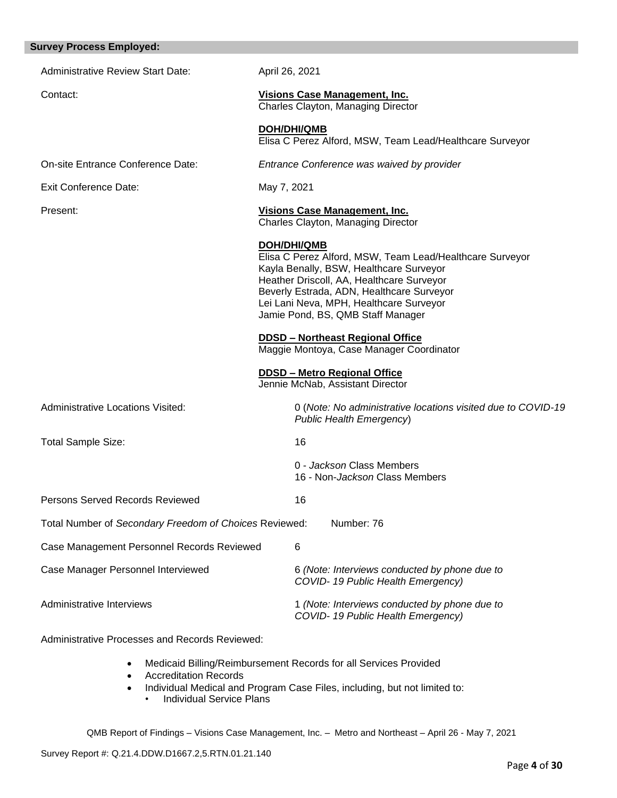| <b>Survey Process Employed:</b>                        |                                                                                                                                                                                                                                                                                                     |
|--------------------------------------------------------|-----------------------------------------------------------------------------------------------------------------------------------------------------------------------------------------------------------------------------------------------------------------------------------------------------|
| <b>Administrative Review Start Date:</b>               | April 26, 2021                                                                                                                                                                                                                                                                                      |
| Contact:                                               | <b>Visions Case Management, Inc.</b><br>Charles Clayton, Managing Director                                                                                                                                                                                                                          |
|                                                        | <b>DOH/DHI/QMB</b><br>Elisa C Perez Alford, MSW, Team Lead/Healthcare Surveyor                                                                                                                                                                                                                      |
| On-site Entrance Conference Date:                      | Entrance Conference was waived by provider                                                                                                                                                                                                                                                          |
| <b>Exit Conference Date:</b>                           | May 7, 2021                                                                                                                                                                                                                                                                                         |
| Present:                                               | Visions Case Management, Inc.<br>Charles Clayton, Managing Director                                                                                                                                                                                                                                 |
|                                                        | <b>DOH/DHI/QMB</b><br>Elisa C Perez Alford, MSW, Team Lead/Healthcare Surveyor<br>Kayla Benally, BSW, Healthcare Surveyor<br>Heather Driscoll, AA, Healthcare Surveyor<br>Beverly Estrada, ADN, Healthcare Surveyor<br>Lei Lani Neva, MPH, Healthcare Surveyor<br>Jamie Pond, BS, QMB Staff Manager |
|                                                        | <b>DDSD - Northeast Regional Office</b><br>Maggie Montoya, Case Manager Coordinator                                                                                                                                                                                                                 |
|                                                        | <b>DDSD - Metro Regional Office</b><br>Jennie McNab, Assistant Director                                                                                                                                                                                                                             |
| Administrative Locations Visited:                      | 0 (Note: No administrative locations visited due to COVID-19<br><b>Public Health Emergency)</b>                                                                                                                                                                                                     |
| <b>Total Sample Size:</b>                              | 16                                                                                                                                                                                                                                                                                                  |
|                                                        | 0 - Jackson Class Members<br>16 - Non-Jackson Class Members                                                                                                                                                                                                                                         |
| <b>Persons Served Records Reviewed</b>                 | 16                                                                                                                                                                                                                                                                                                  |
| Total Number of Secondary Freedom of Choices Reviewed: | Number: 76                                                                                                                                                                                                                                                                                          |
| Case Management Personnel Records Reviewed             | 6                                                                                                                                                                                                                                                                                                   |
| Case Manager Personnel Interviewed                     | 6 (Note: Interviews conducted by phone due to<br>COVID-19 Public Health Emergency)                                                                                                                                                                                                                  |
| Administrative Interviews                              | 1 (Note: Interviews conducted by phone due to<br>COVID-19 Public Health Emergency)                                                                                                                                                                                                                  |

Administrative Processes and Records Reviewed:

- Medicaid Billing/Reimbursement Records for all Services Provided
- Accreditation Records
- Individual Medical and Program Case Files, including, but not limited to:
	- Individual Service Plans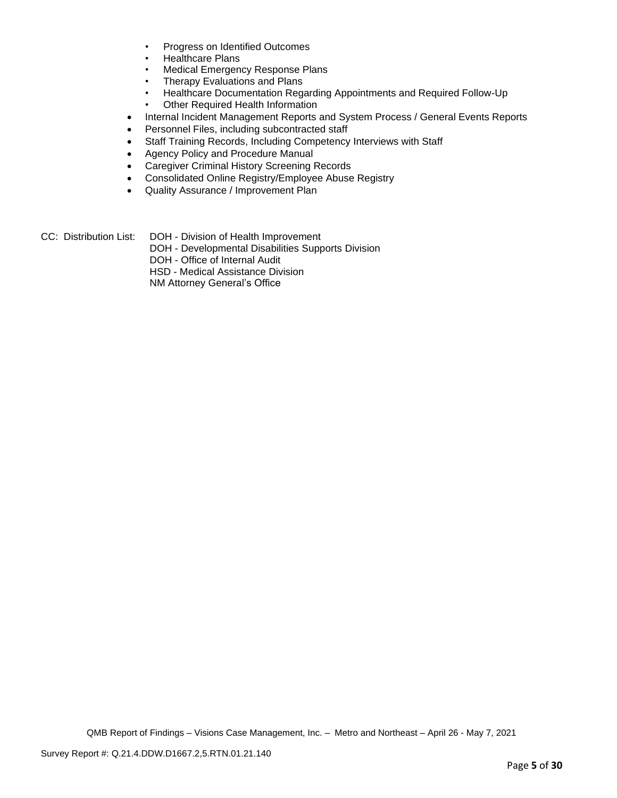- Progress on Identified Outcomes
- Healthcare Plans
- Medical Emergency Response Plans
- Therapy Evaluations and Plans
- Healthcare Documentation Regarding Appointments and Required Follow-Up
- Other Required Health Information
- Internal Incident Management Reports and System Process / General Events Reports
- Personnel Files, including subcontracted staff
- Staff Training Records, Including Competency Interviews with Staff
- Agency Policy and Procedure Manual
- Caregiver Criminal History Screening Records
- Consolidated Online Registry/Employee Abuse Registry
- Quality Assurance / Improvement Plan
- CC: Distribution List: DOH Division of Health Improvement
	- DOH Developmental Disabilities Supports Division
	- DOH Office of Internal Audit
	- HSD Medical Assistance Division

NM Attorney General's Office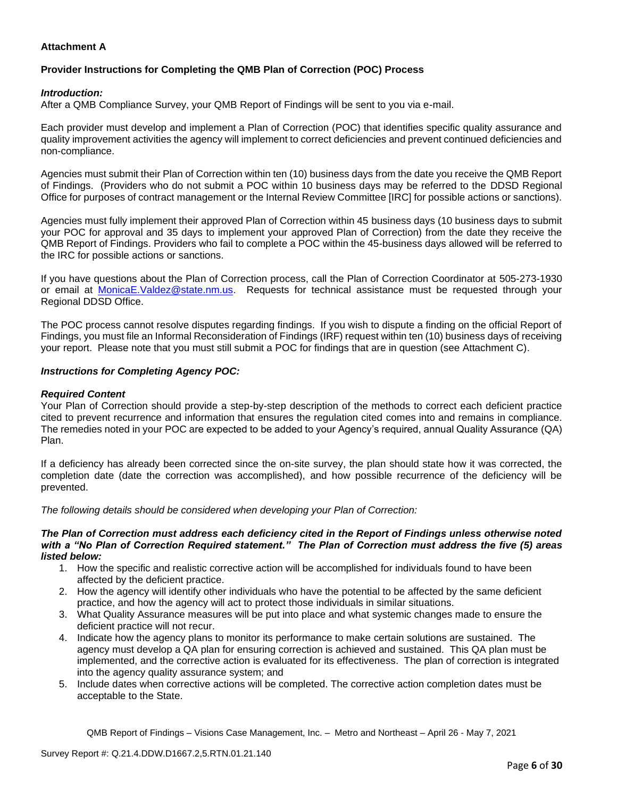# **Attachment A**

# **Provider Instructions for Completing the QMB Plan of Correction (POC) Process**

## *Introduction:*

After a QMB Compliance Survey, your QMB Report of Findings will be sent to you via e-mail.

Each provider must develop and implement a Plan of Correction (POC) that identifies specific quality assurance and quality improvement activities the agency will implement to correct deficiencies and prevent continued deficiencies and non-compliance.

Agencies must submit their Plan of Correction within ten (10) business days from the date you receive the QMB Report of Findings. (Providers who do not submit a POC within 10 business days may be referred to the DDSD Regional Office for purposes of contract management or the Internal Review Committee [IRC] for possible actions or sanctions).

Agencies must fully implement their approved Plan of Correction within 45 business days (10 business days to submit your POC for approval and 35 days to implement your approved Plan of Correction) from the date they receive the QMB Report of Findings. Providers who fail to complete a POC within the 45-business days allowed will be referred to the IRC for possible actions or sanctions.

If you have questions about the Plan of Correction process, call the Plan of Correction Coordinator at 505-273-1930 or email at [MonicaE.Valdez@state.nm.us.](mailto:MonicaE.Valdez@state.nm.us) Requests for technical assistance must be requested through your Regional DDSD Office.

The POC process cannot resolve disputes regarding findings. If you wish to dispute a finding on the official Report of Findings, you must file an Informal Reconsideration of Findings (IRF) request within ten (10) business days of receiving your report. Please note that you must still submit a POC for findings that are in question (see Attachment C).

### *Instructions for Completing Agency POC:*

### *Required Content*

Your Plan of Correction should provide a step-by-step description of the methods to correct each deficient practice cited to prevent recurrence and information that ensures the regulation cited comes into and remains in compliance. The remedies noted in your POC are expected to be added to your Agency's required, annual Quality Assurance (QA) Plan.

If a deficiency has already been corrected since the on-site survey, the plan should state how it was corrected, the completion date (date the correction was accomplished), and how possible recurrence of the deficiency will be prevented.

*The following details should be considered when developing your Plan of Correction:*

#### *The Plan of Correction must address each deficiency cited in the Report of Findings unless otherwise noted with a "No Plan of Correction Required statement." The Plan of Correction must address the five (5) areas listed below:*

- 1. How the specific and realistic corrective action will be accomplished for individuals found to have been affected by the deficient practice.
- 2. How the agency will identify other individuals who have the potential to be affected by the same deficient practice, and how the agency will act to protect those individuals in similar situations.
- 3. What Quality Assurance measures will be put into place and what systemic changes made to ensure the deficient practice will not recur.
- 4. Indicate how the agency plans to monitor its performance to make certain solutions are sustained. The agency must develop a QA plan for ensuring correction is achieved and sustained. This QA plan must be implemented, and the corrective action is evaluated for its effectiveness. The plan of correction is integrated into the agency quality assurance system; and
- 5. Include dates when corrective actions will be completed. The corrective action completion dates must be acceptable to the State.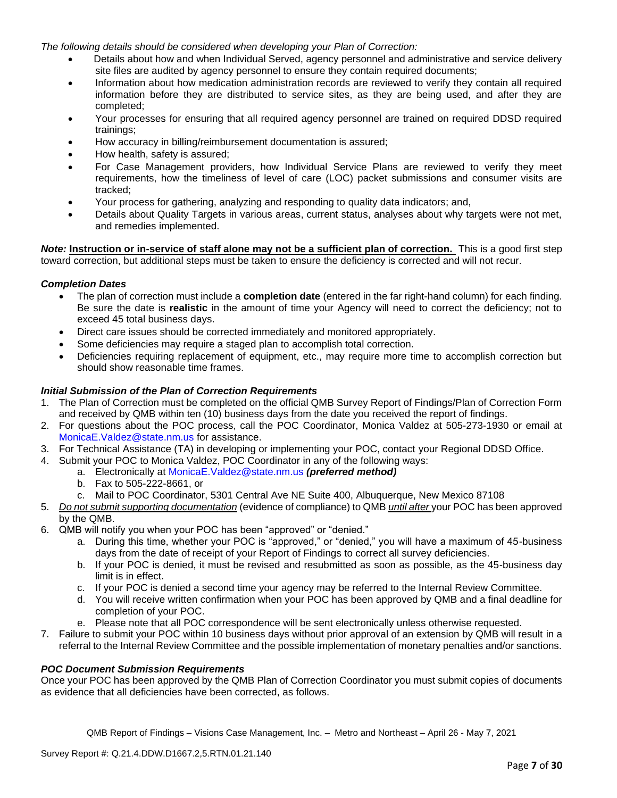*The following details should be considered when developing your Plan of Correction:*

- Details about how and when Individual Served, agency personnel and administrative and service delivery site files are audited by agency personnel to ensure they contain required documents;
- Information about how medication administration records are reviewed to verify they contain all required information before they are distributed to service sites, as they are being used, and after they are completed;
- Your processes for ensuring that all required agency personnel are trained on required DDSD required trainings;
- How accuracy in billing/reimbursement documentation is assured;
- How health, safety is assured;
- For Case Management providers, how Individual Service Plans are reviewed to verify they meet requirements, how the timeliness of level of care (LOC) packet submissions and consumer visits are tracked;
- Your process for gathering, analyzing and responding to quality data indicators; and,
- Details about Quality Targets in various areas, current status, analyses about why targets were not met, and remedies implemented.

*Note:* **Instruction or in-service of staff alone may not be a sufficient plan of correction.** This is a good first step toward correction, but additional steps must be taken to ensure the deficiency is corrected and will not recur.

### *Completion Dates*

- The plan of correction must include a **completion date** (entered in the far right-hand column) for each finding. Be sure the date is **realistic** in the amount of time your Agency will need to correct the deficiency; not to exceed 45 total business days.
- Direct care issues should be corrected immediately and monitored appropriately.
- Some deficiencies may require a staged plan to accomplish total correction.
- Deficiencies requiring replacement of equipment, etc., may require more time to accomplish correction but should show reasonable time frames.

### *Initial Submission of the Plan of Correction Requirements*

- 1. The Plan of Correction must be completed on the official QMB Survey Report of Findings/Plan of Correction Form and received by QMB within ten (10) business days from the date you received the report of findings.
- 2. For questions about the POC process, call the POC Coordinator, Monica Valdez at 505-273-1930 or email at [MonicaE.Valdez@state.nm.us](mailto:MonicaE.Valdez@state.nm.us) for assistance.
- 3. For Technical Assistance (TA) in developing or implementing your POC, contact your Regional DDSD Office.
- 4. Submit your POC to Monica Valdez, POC Coordinator in any of the following ways:
	- a. Electronically at [MonicaE.Valdez@state.nm.us](mailto:MonicaE.Valdez@state.nm.us) *(preferred method)*
	- b. Fax to 505-222-8661, or
	- c. Mail to POC Coordinator, 5301 Central Ave NE Suite 400, Albuquerque, New Mexico 87108
- 5. *Do not submit supporting documentation* (evidence of compliance) to QMB *until after* your POC has been approved by the QMB.
- 6. QMB will notify you when your POC has been "approved" or "denied."
	- a. During this time, whether your POC is "approved," or "denied," you will have a maximum of 45-business days from the date of receipt of your Report of Findings to correct all survey deficiencies.
	- b. If your POC is denied, it must be revised and resubmitted as soon as possible, as the 45-business day limit is in effect.
	- c. If your POC is denied a second time your agency may be referred to the Internal Review Committee.
	- d. You will receive written confirmation when your POC has been approved by QMB and a final deadline for completion of your POC.
	- e. Please note that all POC correspondence will be sent electronically unless otherwise requested.
- 7. Failure to submit your POC within 10 business days without prior approval of an extension by QMB will result in a referral to the Internal Review Committee and the possible implementation of monetary penalties and/or sanctions.

#### *POC Document Submission Requirements*

Once your POC has been approved by the QMB Plan of Correction Coordinator you must submit copies of documents as evidence that all deficiencies have been corrected, as follows.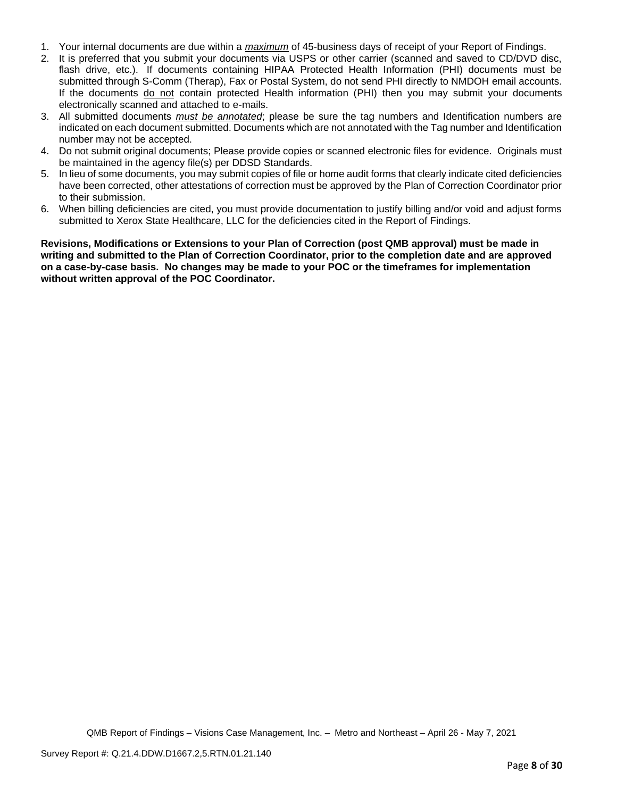- 1. Your internal documents are due within a *maximum* of 45-business days of receipt of your Report of Findings.
- 2. It is preferred that you submit your documents via USPS or other carrier (scanned and saved to CD/DVD disc, flash drive, etc.). If documents containing HIPAA Protected Health Information (PHI) documents must be submitted through S-Comm (Therap), Fax or Postal System, do not send PHI directly to NMDOH email accounts. If the documents do not contain protected Health information (PHI) then you may submit your documents electronically scanned and attached to e-mails.
- 3. All submitted documents *must be annotated*; please be sure the tag numbers and Identification numbers are indicated on each document submitted. Documents which are not annotated with the Tag number and Identification number may not be accepted.
- 4. Do not submit original documents; Please provide copies or scanned electronic files for evidence. Originals must be maintained in the agency file(s) per DDSD Standards.
- 5. In lieu of some documents, you may submit copies of file or home audit forms that clearly indicate cited deficiencies have been corrected, other attestations of correction must be approved by the Plan of Correction Coordinator prior to their submission.
- 6. When billing deficiencies are cited, you must provide documentation to justify billing and/or void and adjust forms submitted to Xerox State Healthcare, LLC for the deficiencies cited in the Report of Findings.

**Revisions, Modifications or Extensions to your Plan of Correction (post QMB approval) must be made in writing and submitted to the Plan of Correction Coordinator, prior to the completion date and are approved on a case-by-case basis. No changes may be made to your POC or the timeframes for implementation without written approval of the POC Coordinator.**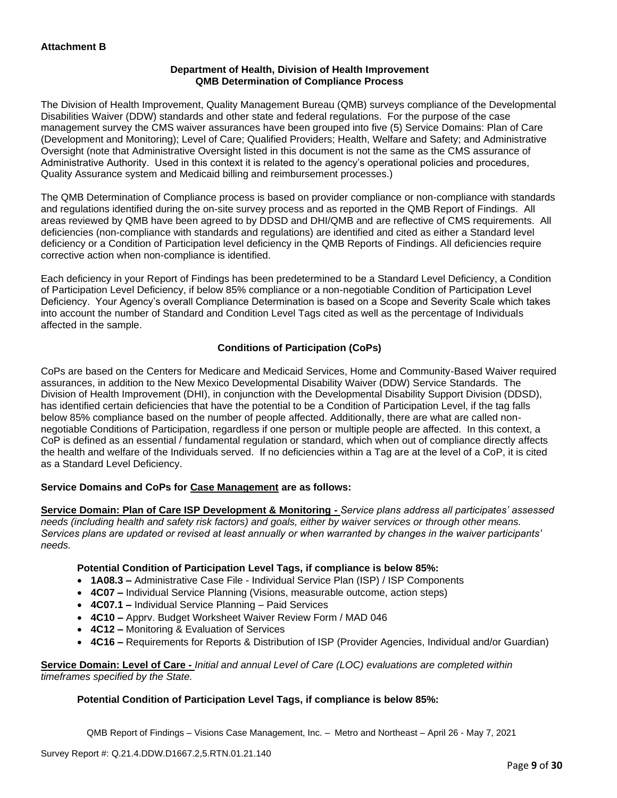# **Department of Health, Division of Health Improvement QMB Determination of Compliance Process**

The Division of Health Improvement, Quality Management Bureau (QMB) surveys compliance of the Developmental Disabilities Waiver (DDW) standards and other state and federal regulations. For the purpose of the case management survey the CMS waiver assurances have been grouped into five (5) Service Domains: Plan of Care (Development and Monitoring); Level of Care; Qualified Providers; Health, Welfare and Safety; and Administrative Oversight (note that Administrative Oversight listed in this document is not the same as the CMS assurance of Administrative Authority. Used in this context it is related to the agency's operational policies and procedures, Quality Assurance system and Medicaid billing and reimbursement processes.)

The QMB Determination of Compliance process is based on provider compliance or non-compliance with standards and regulations identified during the on-site survey process and as reported in the QMB Report of Findings. All areas reviewed by QMB have been agreed to by DDSD and DHI/QMB and are reflective of CMS requirements. All deficiencies (non-compliance with standards and regulations) are identified and cited as either a Standard level deficiency or a Condition of Participation level deficiency in the QMB Reports of Findings. All deficiencies require corrective action when non-compliance is identified.

Each deficiency in your Report of Findings has been predetermined to be a Standard Level Deficiency, a Condition of Participation Level Deficiency, if below 85% compliance or a non-negotiable Condition of Participation Level Deficiency. Your Agency's overall Compliance Determination is based on a Scope and Severity Scale which takes into account the number of Standard and Condition Level Tags cited as well as the percentage of Individuals affected in the sample.

# **Conditions of Participation (CoPs)**

CoPs are based on the Centers for Medicare and Medicaid Services, Home and Community-Based Waiver required assurances, in addition to the New Mexico Developmental Disability Waiver (DDW) Service Standards. The Division of Health Improvement (DHI), in conjunction with the Developmental Disability Support Division (DDSD), has identified certain deficiencies that have the potential to be a Condition of Participation Level, if the tag falls below 85% compliance based on the number of people affected. Additionally, there are what are called nonnegotiable Conditions of Participation, regardless if one person or multiple people are affected. In this context, a CoP is defined as an essential / fundamental regulation or standard, which when out of compliance directly affects the health and welfare of the Individuals served. If no deficiencies within a Tag are at the level of a CoP, it is cited as a Standard Level Deficiency.

### **Service Domains and CoPs for Case Management are as follows:**

**Service Domain: Plan of Care ISP Development & Monitoring -** *Service plans address all participates' assessed needs (including health and safety risk factors) and goals, either by waiver services or through other means. Services plans are updated or revised at least annually or when warranted by changes in the waiver participants' needs.*

### **Potential Condition of Participation Level Tags, if compliance is below 85%:**

- **1A08.3 –** Administrative Case File Individual Service Plan (ISP) / ISP Components
- **4C07 –** Individual Service Planning (Visions, measurable outcome, action steps)
- **4C07.1 –** Individual Service Planning Paid Services
- **4C10 –** Apprv. Budget Worksheet Waiver Review Form / MAD 046
- **4C12 –** Monitoring & Evaluation of Services
- **4C16 –** Requirements for Reports & Distribution of ISP (Provider Agencies, Individual and/or Guardian)

**Service Domain: Level of Care -** *Initial and annual Level of Care (LOC) evaluations are completed within timeframes specified by the State.*

### **Potential Condition of Participation Level Tags, if compliance is below 85%:**

QMB Report of Findings – Visions Case Management, Inc. – Metro and Northeast – April 26 - May 7, 2021

Survey Report #: Q.21.4.DDW.D1667.2,5.RTN.01.21.140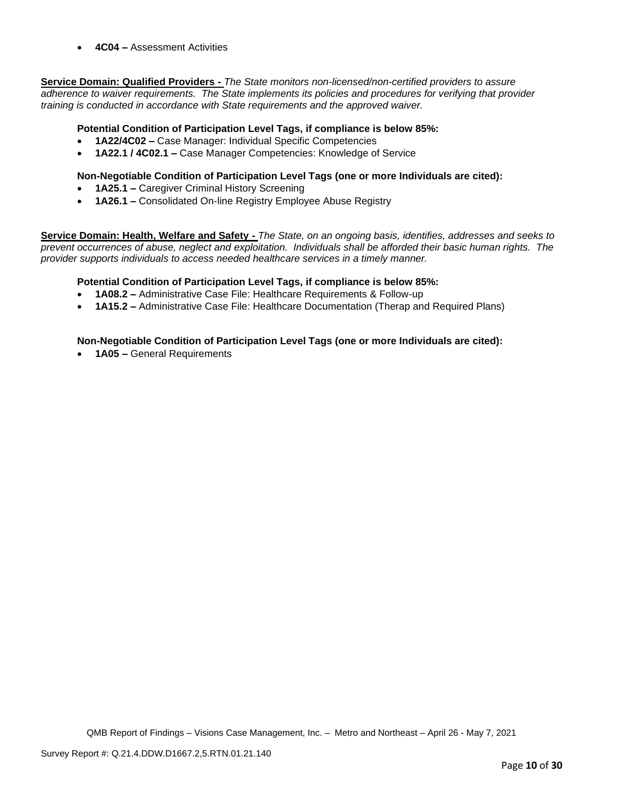• **4C04 –** Assessment Activities

**Service Domain: Qualified Providers -** *The State monitors non-licensed/non-certified providers to assure adherence to waiver requirements. The State implements its policies and procedures for verifying that provider training is conducted in accordance with State requirements and the approved waiver.*

# **Potential Condition of Participation Level Tags, if compliance is below 85%:**

- **1A22/4C02 –** Case Manager: Individual Specific Competencies
- **1A22.1 / 4C02.1 –** Case Manager Competencies: Knowledge of Service

## **Non-Negotiable Condition of Participation Level Tags (one or more Individuals are cited):**

- **1A25.1 –** Caregiver Criminal History Screening
- **1A26.1 –** Consolidated On-line Registry Employee Abuse Registry

**Service Domain: Health, Welfare and Safety -** *The State, on an ongoing basis, identifies, addresses and seeks to prevent occurrences of abuse, neglect and exploitation. Individuals shall be afforded their basic human rights. The provider supports individuals to access needed healthcare services in a timely manner.*

### **Potential Condition of Participation Level Tags, if compliance is below 85%:**

- **1A08.2 –** Administrative Case File: Healthcare Requirements & Follow-up
- **1A15.2 –** Administrative Case File: Healthcare Documentation (Therap and Required Plans)

### **Non-Negotiable Condition of Participation Level Tags (one or more Individuals are cited):**

• **1A05 –** General Requirements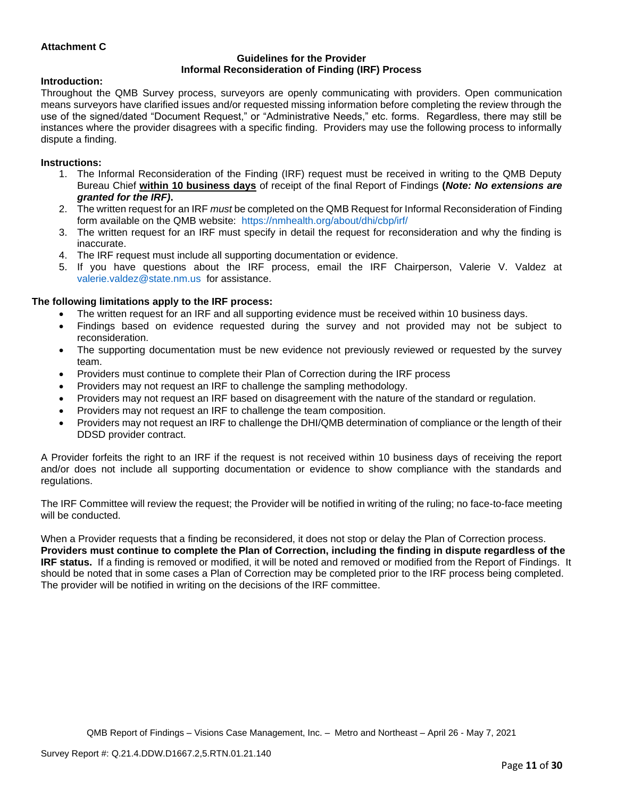# **Attachment C**

#### **Guidelines for the Provider Informal Reconsideration of Finding (IRF) Process**

#### **Introduction:**

Throughout the QMB Survey process, surveyors are openly communicating with providers. Open communication means surveyors have clarified issues and/or requested missing information before completing the review through the use of the signed/dated "Document Request," or "Administrative Needs," etc. forms. Regardless, there may still be instances where the provider disagrees with a specific finding. Providers may use the following process to informally dispute a finding.

#### **Instructions:**

- 1. The Informal Reconsideration of the Finding (IRF) request must be received in writing to the QMB Deputy Bureau Chief **within 10 business days** of receipt of the final Report of Findings **(***Note: No extensions are granted for the IRF)***.**
- 2. The written request for an IRF *must* be completed on the QMB Request for Informal Reconsideration of Finding form available on the QMB website: <https://nmhealth.org/about/dhi/cbp/irf/>
- 3. The written request for an IRF must specify in detail the request for reconsideration and why the finding is inaccurate.
- 4. The IRF request must include all supporting documentation or evidence.
- 5. If you have questions about the IRF process, email the IRF Chairperson, Valerie V. Valdez at [valerie.valdez@state.nm.us](mailto:valerie.valdez@state.nm.us) for assistance.

#### **The following limitations apply to the IRF process:**

- The written request for an IRF and all supporting evidence must be received within 10 business days.
- Findings based on evidence requested during the survey and not provided may not be subject to reconsideration.
- The supporting documentation must be new evidence not previously reviewed or requested by the survey team.
- Providers must continue to complete their Plan of Correction during the IRF process
- Providers may not request an IRF to challenge the sampling methodology.
- Providers may not request an IRF based on disagreement with the nature of the standard or regulation.
- Providers may not request an IRF to challenge the team composition.
- Providers may not request an IRF to challenge the DHI/QMB determination of compliance or the length of their DDSD provider contract.

A Provider forfeits the right to an IRF if the request is not received within 10 business days of receiving the report and/or does not include all supporting documentation or evidence to show compliance with the standards and regulations.

The IRF Committee will review the request; the Provider will be notified in writing of the ruling; no face-to-face meeting will be conducted.

When a Provider requests that a finding be reconsidered, it does not stop or delay the Plan of Correction process. **Providers must continue to complete the Plan of Correction, including the finding in dispute regardless of the IRF status.** If a finding is removed or modified, it will be noted and removed or modified from the Report of Findings. It should be noted that in some cases a Plan of Correction may be completed prior to the IRF process being completed. The provider will be notified in writing on the decisions of the IRF committee.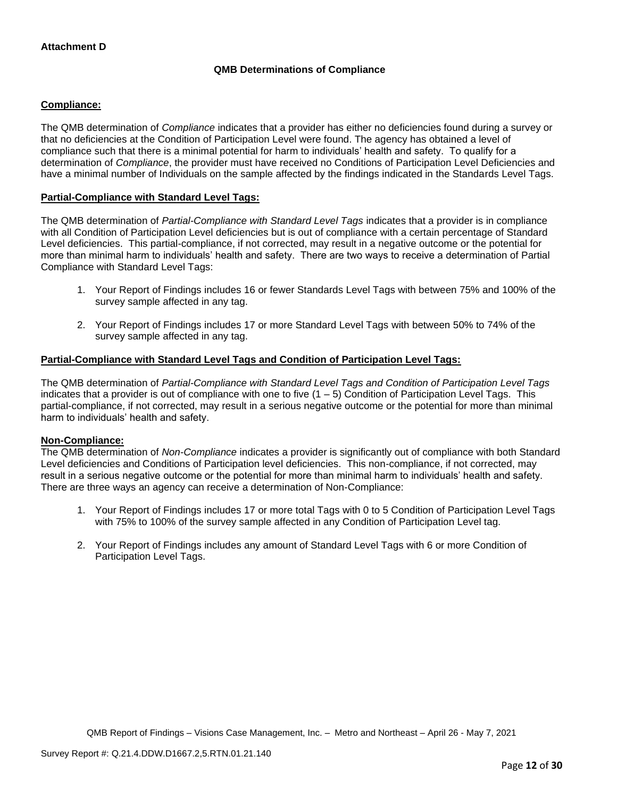# **QMB Determinations of Compliance**

# **Compliance:**

The QMB determination of *Compliance* indicates that a provider has either no deficiencies found during a survey or that no deficiencies at the Condition of Participation Level were found. The agency has obtained a level of compliance such that there is a minimal potential for harm to individuals' health and safety. To qualify for a determination of *Compliance*, the provider must have received no Conditions of Participation Level Deficiencies and have a minimal number of Individuals on the sample affected by the findings indicated in the Standards Level Tags.

# **Partial-Compliance with Standard Level Tags:**

The QMB determination of *Partial-Compliance with Standard Level Tags* indicates that a provider is in compliance with all Condition of Participation Level deficiencies but is out of compliance with a certain percentage of Standard Level deficiencies. This partial-compliance, if not corrected, may result in a negative outcome or the potential for more than minimal harm to individuals' health and safety. There are two ways to receive a determination of Partial Compliance with Standard Level Tags:

- 1. Your Report of Findings includes 16 or fewer Standards Level Tags with between 75% and 100% of the survey sample affected in any tag.
- 2. Your Report of Findings includes 17 or more Standard Level Tags with between 50% to 74% of the survey sample affected in any tag.

# **Partial-Compliance with Standard Level Tags and Condition of Participation Level Tags:**

The QMB determination of *Partial-Compliance with Standard Level Tags and Condition of Participation Level Tags*  indicates that a provider is out of compliance with one to five  $(1 - 5)$  Condition of Participation Level Tags. This partial-compliance, if not corrected, may result in a serious negative outcome or the potential for more than minimal harm to individuals' health and safety.

### **Non-Compliance:**

The QMB determination of *Non-Compliance* indicates a provider is significantly out of compliance with both Standard Level deficiencies and Conditions of Participation level deficiencies. This non-compliance, if not corrected, may result in a serious negative outcome or the potential for more than minimal harm to individuals' health and safety. There are three ways an agency can receive a determination of Non-Compliance:

- 1. Your Report of Findings includes 17 or more total Tags with 0 to 5 Condition of Participation Level Tags with 75% to 100% of the survey sample affected in any Condition of Participation Level tag.
- 2. Your Report of Findings includes any amount of Standard Level Tags with 6 or more Condition of Participation Level Tags.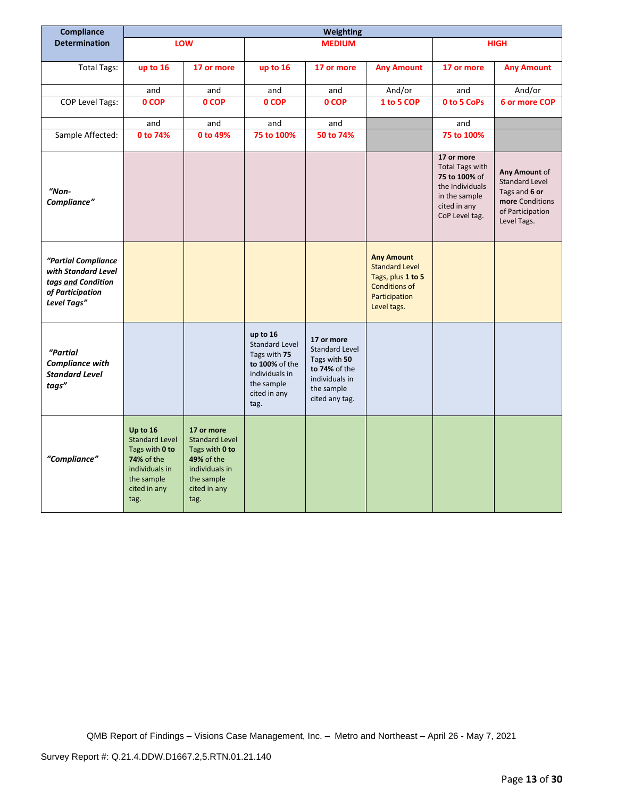| Compliance                                                                                          | Weighting                                                                                                                 |                                                                                                                                    |                                                                                                                             |                                                                                                                        |                                                                                                                         |                                                                                                                             |                                                                                                               |
|-----------------------------------------------------------------------------------------------------|---------------------------------------------------------------------------------------------------------------------------|------------------------------------------------------------------------------------------------------------------------------------|-----------------------------------------------------------------------------------------------------------------------------|------------------------------------------------------------------------------------------------------------------------|-------------------------------------------------------------------------------------------------------------------------|-----------------------------------------------------------------------------------------------------------------------------|---------------------------------------------------------------------------------------------------------------|
| <b>Determination</b>                                                                                |                                                                                                                           | LOW                                                                                                                                |                                                                                                                             | <b>MEDIUM</b>                                                                                                          |                                                                                                                         |                                                                                                                             | <b>HIGH</b>                                                                                                   |
|                                                                                                     |                                                                                                                           |                                                                                                                                    |                                                                                                                             |                                                                                                                        |                                                                                                                         |                                                                                                                             |                                                                                                               |
| <b>Total Tags:</b>                                                                                  | up to 16                                                                                                                  | 17 or more                                                                                                                         | up to 16                                                                                                                    | 17 or more                                                                                                             | <b>Any Amount</b>                                                                                                       | 17 or more                                                                                                                  | <b>Any Amount</b>                                                                                             |
|                                                                                                     | and                                                                                                                       | and                                                                                                                                | and                                                                                                                         | and                                                                                                                    | And/or                                                                                                                  | and                                                                                                                         | And/or                                                                                                        |
| <b>COP Level Tags:</b>                                                                              | 0 COP                                                                                                                     | 0 COP                                                                                                                              | 0 COP                                                                                                                       | 0 COP                                                                                                                  | 1 to 5 COP                                                                                                              | 0 to 5 CoPs                                                                                                                 | 6 or more COP                                                                                                 |
|                                                                                                     | and                                                                                                                       | and                                                                                                                                | and                                                                                                                         | and                                                                                                                    |                                                                                                                         | and                                                                                                                         |                                                                                                               |
| Sample Affected:                                                                                    | 0 to 74%                                                                                                                  | 0 to 49%                                                                                                                           | 75 to 100%                                                                                                                  | 50 to 74%                                                                                                              |                                                                                                                         | 75 to 100%                                                                                                                  |                                                                                                               |
| "Non-<br>Compliance"                                                                                |                                                                                                                           |                                                                                                                                    |                                                                                                                             |                                                                                                                        |                                                                                                                         | 17 or more<br><b>Total Tags with</b><br>75 to 100% of<br>the Individuals<br>in the sample<br>cited in any<br>CoP Level tag. | Any Amount of<br><b>Standard Level</b><br>Tags and 6 or<br>more Conditions<br>of Participation<br>Level Tags. |
| "Partial Compliance<br>with Standard Level<br>tags and Condition<br>of Participation<br>Level Tags" |                                                                                                                           |                                                                                                                                    |                                                                                                                             |                                                                                                                        | <b>Any Amount</b><br><b>Standard Level</b><br>Tags, plus 1 to 5<br><b>Conditions of</b><br>Participation<br>Level tags. |                                                                                                                             |                                                                                                               |
| "Partial<br><b>Compliance with</b><br><b>Standard Level</b><br>tags"                                |                                                                                                                           |                                                                                                                                    | up to 16<br><b>Standard Level</b><br>Tags with 75<br>to 100% of the<br>individuals in<br>the sample<br>cited in any<br>tag. | 17 or more<br><b>Standard Level</b><br>Tags with 50<br>to 74% of the<br>individuals in<br>the sample<br>cited any tag. |                                                                                                                         |                                                                                                                             |                                                                                                               |
| "Compliance"                                                                                        | Up to 16<br><b>Standard Level</b><br>Tags with 0 to<br>74% of the<br>individuals in<br>the sample<br>cited in any<br>tag. | 17 or more<br><b>Standard Level</b><br>Tags with 0 to<br><b>49% of the</b><br>individuals in<br>the sample<br>cited in any<br>tag. |                                                                                                                             |                                                                                                                        |                                                                                                                         |                                                                                                                             |                                                                                                               |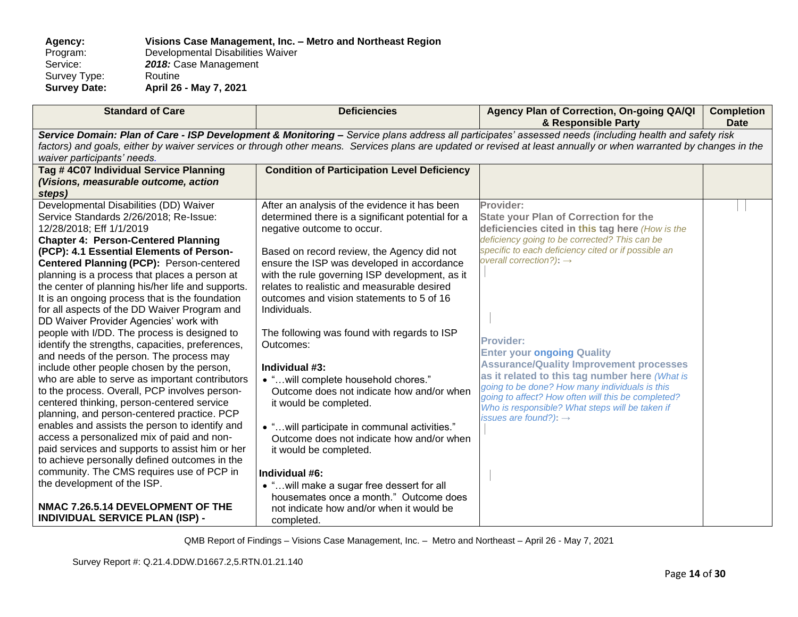**Agency: Visions Case Management, Inc. – Metro and Northeast Region** Program: Developmental Disabilities Waiver<br>Service: 2018: Case Management 2018: Case Management<br>Routine Survey Type:<br>Survey Date: **Survey Date: April 26 - May 7, 2021**

| <b>Standard of Care</b>                                                                                                                                                                                                                                                                                                                                                                                                                                                                                                                                                                                                                                                                                                                                                                                                                                                                                                                                                                                                                                                                                                                                                                                                                                             | <b>Deficiencies</b>                                                                                                                                                                                                                                                                                                                                                                                                                                                                                                                                                                                                                                                                                                                                                                                                                                                                | Agency Plan of Correction, On-going QA/QI<br>& Responsible Party                                                                                                                                                                                                                                                                                                                                                                                                                                                                                                                                                         | <b>Completion</b><br><b>Date</b> |  |
|---------------------------------------------------------------------------------------------------------------------------------------------------------------------------------------------------------------------------------------------------------------------------------------------------------------------------------------------------------------------------------------------------------------------------------------------------------------------------------------------------------------------------------------------------------------------------------------------------------------------------------------------------------------------------------------------------------------------------------------------------------------------------------------------------------------------------------------------------------------------------------------------------------------------------------------------------------------------------------------------------------------------------------------------------------------------------------------------------------------------------------------------------------------------------------------------------------------------------------------------------------------------|------------------------------------------------------------------------------------------------------------------------------------------------------------------------------------------------------------------------------------------------------------------------------------------------------------------------------------------------------------------------------------------------------------------------------------------------------------------------------------------------------------------------------------------------------------------------------------------------------------------------------------------------------------------------------------------------------------------------------------------------------------------------------------------------------------------------------------------------------------------------------------|--------------------------------------------------------------------------------------------------------------------------------------------------------------------------------------------------------------------------------------------------------------------------------------------------------------------------------------------------------------------------------------------------------------------------------------------------------------------------------------------------------------------------------------------------------------------------------------------------------------------------|----------------------------------|--|
| Service Domain: Plan of Care - ISP Development & Monitoring - Service plans address all participates' assessed needs (including health and safety risk<br>factors) and goals, either by waiver services or through other means. Services plans are updated or revised at least annually or when warranted by changes in the<br>waiver participants' needs.                                                                                                                                                                                                                                                                                                                                                                                                                                                                                                                                                                                                                                                                                                                                                                                                                                                                                                          |                                                                                                                                                                                                                                                                                                                                                                                                                                                                                                                                                                                                                                                                                                                                                                                                                                                                                    |                                                                                                                                                                                                                                                                                                                                                                                                                                                                                                                                                                                                                          |                                  |  |
| Tag # 4C07 Individual Service Planning<br>(Visions, measurable outcome, action<br>steps)                                                                                                                                                                                                                                                                                                                                                                                                                                                                                                                                                                                                                                                                                                                                                                                                                                                                                                                                                                                                                                                                                                                                                                            | <b>Condition of Participation Level Deficiency</b>                                                                                                                                                                                                                                                                                                                                                                                                                                                                                                                                                                                                                                                                                                                                                                                                                                 |                                                                                                                                                                                                                                                                                                                                                                                                                                                                                                                                                                                                                          |                                  |  |
| Developmental Disabilities (DD) Waiver<br>Service Standards 2/26/2018; Re-Issue:<br>12/28/2018; Eff 1/1/2019<br><b>Chapter 4: Person-Centered Planning</b><br>(PCP): 4.1 Essential Elements of Person-<br>Centered Planning (PCP): Person-centered<br>planning is a process that places a person at<br>the center of planning his/her life and supports.<br>It is an ongoing process that is the foundation<br>for all aspects of the DD Waiver Program and<br>DD Waiver Provider Agencies' work with<br>people with I/DD. The process is designed to<br>identify the strengths, capacities, preferences,<br>and needs of the person. The process may<br>include other people chosen by the person,<br>who are able to serve as important contributors<br>to the process. Overall, PCP involves person-<br>centered thinking, person-centered service<br>planning, and person-centered practice. PCP<br>enables and assists the person to identify and<br>access a personalized mix of paid and non-<br>paid services and supports to assist him or her<br>to achieve personally defined outcomes in the<br>community. The CMS requires use of PCP in<br>the development of the ISP.<br>NMAC 7.26.5.14 DEVELOPMENT OF THE<br><b>INDIVIDUAL SERVICE PLAN (ISP) -</b> | After an analysis of the evidence it has been<br>determined there is a significant potential for a<br>negative outcome to occur.<br>Based on record review, the Agency did not<br>ensure the ISP was developed in accordance<br>with the rule governing ISP development, as it<br>relates to realistic and measurable desired<br>outcomes and vision statements to 5 of 16<br>Individuals.<br>The following was found with regards to ISP<br>Outcomes:<br>Individual #3:<br>• " will complete household chores."<br>Outcome does not indicate how and/or when<br>it would be completed.<br>• "will participate in communal activities."<br>Outcome does not indicate how and/or when<br>it would be completed.<br>Individual #6:<br>• " will make a sugar free dessert for all<br>housemates once a month." Outcome does<br>not indicate how and/or when it would be<br>completed. | Provider:<br><b>State your Plan of Correction for the</b><br>deficiencies cited in this tag here (How is the<br>deficiency going to be corrected? This can be<br>specific to each deficiency cited or if possible an<br>overall correction?): $\rightarrow$<br><b>Provider:</b><br><b>Enter your ongoing Quality</b><br><b>Assurance/Quality Improvement processes</b><br>as it related to this tag number here (What is<br>going to be done? How many individuals is this<br>going to affect? How often will this be completed?<br>Who is responsible? What steps will be taken if<br>issues are found?): $\rightarrow$ |                                  |  |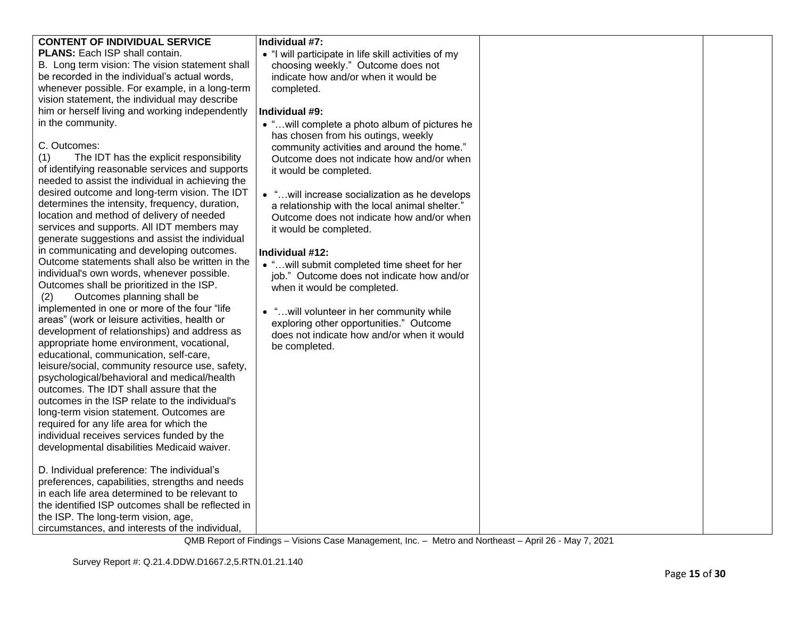| <b>CONTENT OF INDIVIDUAL SERVICE</b>              | Individual #7:                                       |  |
|---------------------------------------------------|------------------------------------------------------|--|
| PLANS: Each ISP shall contain.                    | • "I will participate in life skill activities of my |  |
| B. Long term vision: The vision statement shall   | choosing weekly." Outcome does not                   |  |
| be recorded in the individual's actual words,     | indicate how and/or when it would be                 |  |
| whenever possible. For example, in a long-term    | completed.                                           |  |
| vision statement, the individual may describe     |                                                      |  |
| him or herself living and working independently   | Individual #9:                                       |  |
| in the community.                                 | • "will complete a photo album of pictures he        |  |
|                                                   | has chosen from his outings, weekly                  |  |
| C. Outcomes:                                      | community activities and around the home."           |  |
| The IDT has the explicit responsibility<br>(1)    | Outcome does not indicate how and/or when            |  |
| of identifying reasonable services and supports   | it would be completed.                               |  |
| needed to assist the individual in achieving the  |                                                      |  |
| desired outcome and long-term vision. The IDT     | • " will increase socialization as he develops       |  |
| determines the intensity, frequency, duration,    | a relationship with the local animal shelter."       |  |
| location and method of delivery of needed         | Outcome does not indicate how and/or when            |  |
| services and supports. All IDT members may        | it would be completed.                               |  |
| generate suggestions and assist the individual    |                                                      |  |
| in communicating and developing outcomes.         | Individual #12:                                      |  |
| Outcome statements shall also be written in the   | • "will submit completed time sheet for her          |  |
| individual's own words, whenever possible.        | job." Outcome does not indicate how and/or           |  |
| Outcomes shall be prioritized in the ISP.         | when it would be completed.                          |  |
| Outcomes planning shall be<br>(2)                 |                                                      |  |
| implemented in one or more of the four "life      | • " will volunteer in her community while            |  |
| areas" (work or leisure activities, health or     | exploring other opportunities." Outcome              |  |
| development of relationships) and address as      | does not indicate how and/or when it would           |  |
| appropriate home environment, vocational,         | be completed.                                        |  |
| educational, communication, self-care,            |                                                      |  |
| leisure/social, community resource use, safety,   |                                                      |  |
| psychological/behavioral and medical/health       |                                                      |  |
| outcomes. The IDT shall assure that the           |                                                      |  |
| outcomes in the ISP relate to the individual's    |                                                      |  |
| long-term vision statement. Outcomes are          |                                                      |  |
| required for any life area for which the          |                                                      |  |
| individual receives services funded by the        |                                                      |  |
| developmental disabilities Medicaid waiver.       |                                                      |  |
|                                                   |                                                      |  |
| D. Individual preference: The individual's        |                                                      |  |
| preferences, capabilities, strengths and needs    |                                                      |  |
| in each life area determined to be relevant to    |                                                      |  |
| the identified ISP outcomes shall be reflected in |                                                      |  |
| the ISP. The long-term vision, age,               |                                                      |  |
| circumstances, and interests of the individual,   |                                                      |  |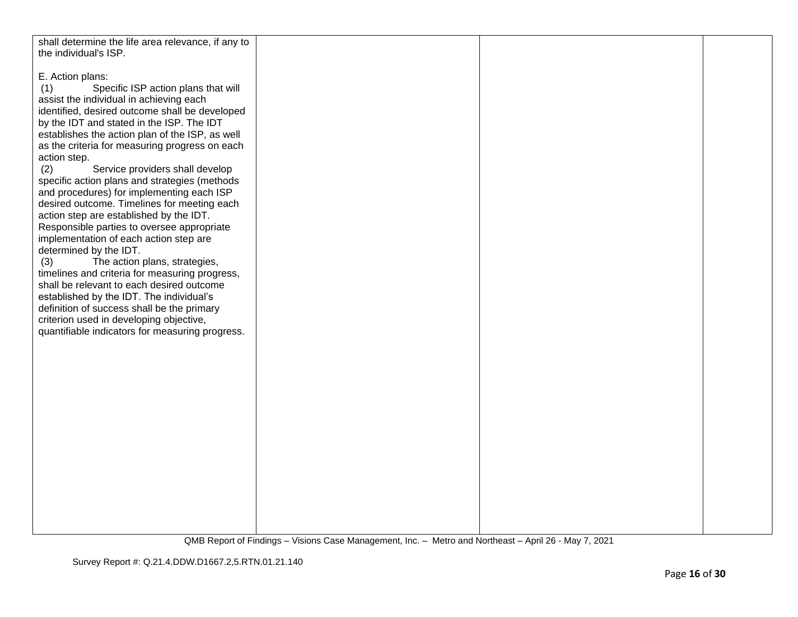| shall determine the life area relevance, if any to |  |  |
|----------------------------------------------------|--|--|
|                                                    |  |  |
| the individual's ISP.                              |  |  |
|                                                    |  |  |
| E. Action plans:                                   |  |  |
| Specific ISP action plans that will<br>(1)         |  |  |
| assist the individual in achieving each            |  |  |
|                                                    |  |  |
| identified, desired outcome shall be developed     |  |  |
| by the IDT and stated in the ISP. The IDT          |  |  |
| establishes the action plan of the ISP, as well    |  |  |
| as the criteria for measuring progress on each     |  |  |
| action step.                                       |  |  |
|                                                    |  |  |
| Service providers shall develop<br>(2)             |  |  |
| specific action plans and strategies (methods      |  |  |
| and procedures) for implementing each ISP          |  |  |
| desired outcome. Timelines for meeting each        |  |  |
| action step are established by the IDT.            |  |  |
| Responsible parties to oversee appropriate         |  |  |
|                                                    |  |  |
| implementation of each action step are             |  |  |
| determined by the IDT.                             |  |  |
| The action plans, strategies,<br>(3)               |  |  |
| timelines and criteria for measuring progress,     |  |  |
| shall be relevant to each desired outcome          |  |  |
|                                                    |  |  |
| established by the IDT. The individual's           |  |  |
| definition of success shall be the primary         |  |  |
| criterion used in developing objective,            |  |  |
| quantifiable indicators for measuring progress.    |  |  |
|                                                    |  |  |
|                                                    |  |  |
|                                                    |  |  |
|                                                    |  |  |
|                                                    |  |  |
|                                                    |  |  |
|                                                    |  |  |
|                                                    |  |  |
|                                                    |  |  |
|                                                    |  |  |
|                                                    |  |  |
|                                                    |  |  |
|                                                    |  |  |
|                                                    |  |  |
|                                                    |  |  |
|                                                    |  |  |
|                                                    |  |  |
|                                                    |  |  |
|                                                    |  |  |
|                                                    |  |  |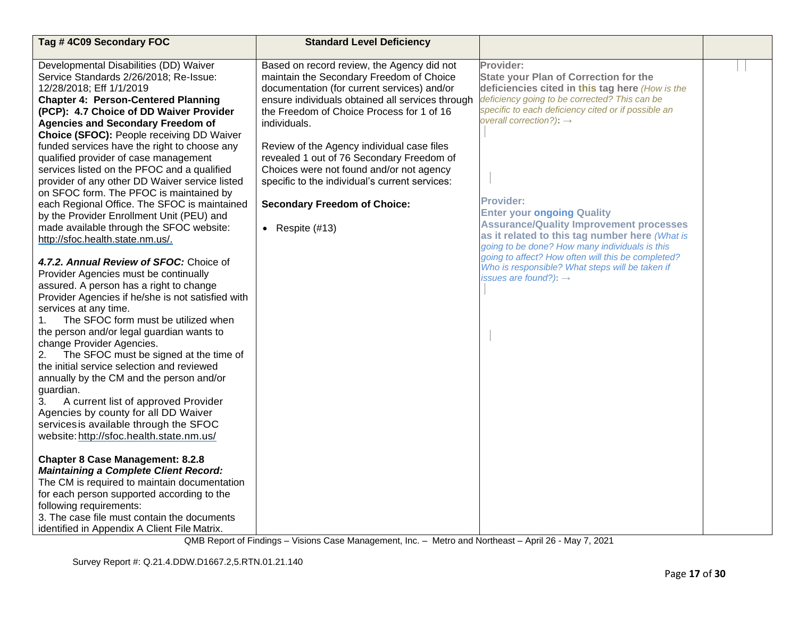| Tag #4C09 Secondary FOC                                                                                                                                                                                                                                                                                                                                                                                                                                                                                                                                                                                                                                                                                                                                                                                                                                                                                                                                                                                                                                                                                                                                                                                                                                                                                                                                                                                                                                                                                                                                                                                                                                                                                   | <b>Standard Level Deficiency</b>                                                                                                                                                                                                                                                                                                                                                                                                                                                                            |                                                                                                                                                                                                                                                                                                                                                                                                                                                                                                                                                                                                                          |  |
|-----------------------------------------------------------------------------------------------------------------------------------------------------------------------------------------------------------------------------------------------------------------------------------------------------------------------------------------------------------------------------------------------------------------------------------------------------------------------------------------------------------------------------------------------------------------------------------------------------------------------------------------------------------------------------------------------------------------------------------------------------------------------------------------------------------------------------------------------------------------------------------------------------------------------------------------------------------------------------------------------------------------------------------------------------------------------------------------------------------------------------------------------------------------------------------------------------------------------------------------------------------------------------------------------------------------------------------------------------------------------------------------------------------------------------------------------------------------------------------------------------------------------------------------------------------------------------------------------------------------------------------------------------------------------------------------------------------|-------------------------------------------------------------------------------------------------------------------------------------------------------------------------------------------------------------------------------------------------------------------------------------------------------------------------------------------------------------------------------------------------------------------------------------------------------------------------------------------------------------|--------------------------------------------------------------------------------------------------------------------------------------------------------------------------------------------------------------------------------------------------------------------------------------------------------------------------------------------------------------------------------------------------------------------------------------------------------------------------------------------------------------------------------------------------------------------------------------------------------------------------|--|
| Developmental Disabilities (DD) Waiver<br>Service Standards 2/26/2018; Re-Issue:<br>12/28/2018; Eff 1/1/2019<br><b>Chapter 4: Person-Centered Planning</b><br>(PCP): 4.7 Choice of DD Waiver Provider<br><b>Agencies and Secondary Freedom of</b><br>Choice (SFOC): People receiving DD Waiver<br>funded services have the right to choose any<br>qualified provider of case management<br>services listed on the PFOC and a qualified<br>provider of any other DD Waiver service listed<br>on SFOC form. The PFOC is maintained by<br>each Regional Office. The SFOC is maintained<br>by the Provider Enrollment Unit (PEU) and<br>made available through the SFOC website:<br>http://sfoc.health.state.nm.us/.<br>4.7.2. Annual Review of SFOC: Choice of<br>Provider Agencies must be continually<br>assured. A person has a right to change<br>Provider Agencies if he/she is not satisfied with<br>services at any time.<br>The SFOC form must be utilized when<br>1.<br>the person and/or legal guardian wants to<br>change Provider Agencies.<br>The SFOC must be signed at the time of<br>2.<br>the initial service selection and reviewed<br>annually by the CM and the person and/or<br>guardian.<br>3.<br>A current list of approved Provider<br>Agencies by county for all DD Waiver<br>services is available through the SFOC<br>website: http://sfoc.health.state.nm.us/<br><b>Chapter 8 Case Management: 8.2.8</b><br><b>Maintaining a Complete Client Record:</b><br>The CM is required to maintain documentation<br>for each person supported according to the<br>following requirements:<br>3. The case file must contain the documents<br>identified in Appendix A Client File Matrix. | Based on record review, the Agency did not<br>maintain the Secondary Freedom of Choice<br>documentation (for current services) and/or<br>ensure individuals obtained all services through<br>the Freedom of Choice Process for 1 of 16<br>individuals.<br>Review of the Agency individual case files<br>revealed 1 out of 76 Secondary Freedom of<br>Choices were not found and/or not agency<br>specific to the individual's current services:<br><b>Secondary Freedom of Choice:</b><br>• Respite $(#13)$ | Provider:<br><b>State your Plan of Correction for the</b><br>deficiencies cited in this tag here (How is the<br>deficiency going to be corrected? This can be<br>specific to each deficiency cited or if possible an<br>overall correction?): $\rightarrow$<br><b>Provider:</b><br><b>Enter your ongoing Quality</b><br><b>Assurance/Quality Improvement processes</b><br>as it related to this tag number here (What is<br>going to be done? How many individuals is this<br>going to affect? How often will this be completed?<br>Who is responsible? What steps will be taken if<br>issues are found?): $\rightarrow$ |  |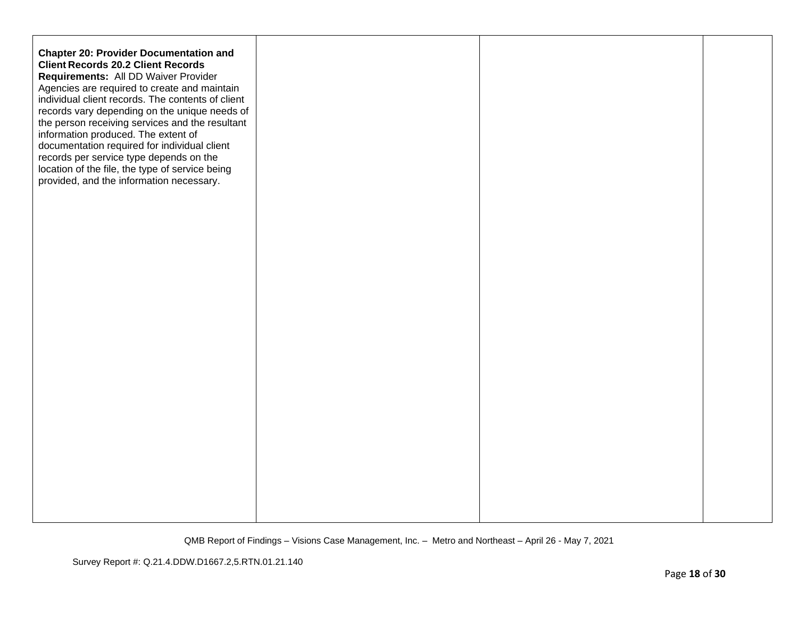| <b>Chapter 20: Provider Documentation and</b><br><b>Client Records 20.2 Client Records</b><br>Requirements: All DD Waiver Provider<br>Agencies are required to create and maintain<br>individual client records. The contents of client<br>records vary depending on the unique needs of<br>the person receiving services and the resultant<br>information produced. The extent of<br>documentation required for individual client<br>records per service type depends on the<br>location of the file, the type of service being<br>provided, and the information necessary. |  |  |
|------------------------------------------------------------------------------------------------------------------------------------------------------------------------------------------------------------------------------------------------------------------------------------------------------------------------------------------------------------------------------------------------------------------------------------------------------------------------------------------------------------------------------------------------------------------------------|--|--|
|                                                                                                                                                                                                                                                                                                                                                                                                                                                                                                                                                                              |  |  |
|                                                                                                                                                                                                                                                                                                                                                                                                                                                                                                                                                                              |  |  |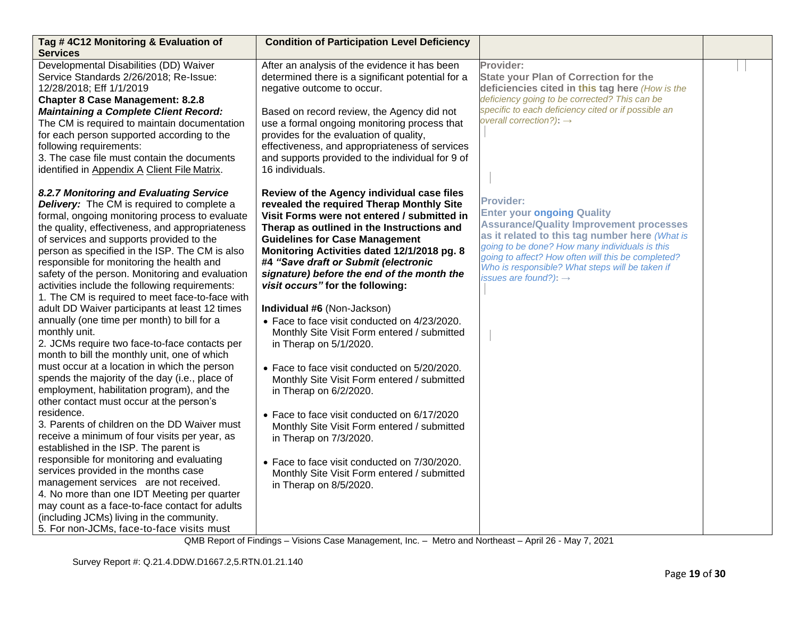| Tag #4C12 Monitoring & Evaluation of                                                         | <b>Condition of Participation Level Deficiency</b>                                      |                                                     |  |
|----------------------------------------------------------------------------------------------|-----------------------------------------------------------------------------------------|-----------------------------------------------------|--|
| <b>Services</b><br>Developmental Disabilities (DD) Waiver                                    | After an analysis of the evidence it has been                                           | Provider:                                           |  |
| Service Standards 2/26/2018; Re-Issue:                                                       | determined there is a significant potential for a                                       | <b>State your Plan of Correction for the</b>        |  |
| 12/28/2018; Eff 1/1/2019                                                                     | negative outcome to occur.                                                              | deficiencies cited in this tag here (How is the     |  |
| <b>Chapter 8 Case Management: 8.2.8</b>                                                      |                                                                                         | deficiency going to be corrected? This can be       |  |
| <b>Maintaining a Complete Client Record:</b>                                                 | Based on record review, the Agency did not                                              | specific to each deficiency cited or if possible an |  |
| The CM is required to maintain documentation                                                 | use a formal ongoing monitoring process that                                            | overall correction?): $\rightarrow$                 |  |
| for each person supported according to the                                                   | provides for the evaluation of quality,                                                 |                                                     |  |
| following requirements:                                                                      | effectiveness, and appropriateness of services                                          |                                                     |  |
| 3. The case file must contain the documents                                                  | and supports provided to the individual for 9 of                                        |                                                     |  |
| identified in Appendix A Client File Matrix.                                                 | 16 individuals.                                                                         |                                                     |  |
|                                                                                              |                                                                                         |                                                     |  |
| 8.2.7 Monitoring and Evaluating Service<br><b>Delivery:</b> The CM is required to complete a | Review of the Agency individual case files<br>revealed the required Therap Monthly Site | <b>Provider:</b>                                    |  |
| formal, ongoing monitoring process to evaluate                                               | Visit Forms were not entered / submitted in                                             | <b>Enter your ongoing Quality</b>                   |  |
| the quality, effectiveness, and appropriateness                                              | Therap as outlined in the Instructions and                                              | <b>Assurance/Quality Improvement processes</b>      |  |
| of services and supports provided to the                                                     | <b>Guidelines for Case Management</b>                                                   | as it related to this tag number here (What is      |  |
| person as specified in the ISP. The CM is also                                               | Monitoring Activities dated 12/1/2018 pg. 8                                             | going to be done? How many individuals is this      |  |
| responsible for monitoring the health and                                                    | #4 "Save draft or Submit (electronic                                                    | going to affect? How often will this be completed?  |  |
| safety of the person. Monitoring and evaluation                                              | signature) before the end of the month the                                              | Who is responsible? What steps will be taken if     |  |
| activities include the following requirements:                                               | visit occurs" for the following:                                                        | issues are found?): $\rightarrow$                   |  |
| 1. The CM is required to meet face-to-face with                                              |                                                                                         |                                                     |  |
| adult DD Waiver participants at least 12 times                                               | Individual #6 (Non-Jackson)                                                             |                                                     |  |
| annually (one time per month) to bill for a                                                  | • Face to face visit conducted on 4/23/2020.                                            |                                                     |  |
| monthly unit.                                                                                | Monthly Site Visit Form entered / submitted                                             |                                                     |  |
| 2. JCMs require two face-to-face contacts per                                                | in Therap on 5/1/2020.                                                                  |                                                     |  |
| month to bill the monthly unit, one of which                                                 |                                                                                         |                                                     |  |
| must occur at a location in which the person                                                 | • Face to face visit conducted on 5/20/2020.                                            |                                                     |  |
| spends the majority of the day (i.e., place of                                               | Monthly Site Visit Form entered / submitted                                             |                                                     |  |
| employment, habilitation program), and the                                                   | in Therap on 6/2/2020.                                                                  |                                                     |  |
| other contact must occur at the person's                                                     |                                                                                         |                                                     |  |
| residence.                                                                                   | • Face to face visit conducted on 6/17/2020                                             |                                                     |  |
| 3. Parents of children on the DD Waiver must                                                 | Monthly Site Visit Form entered / submitted                                             |                                                     |  |
| receive a minimum of four visits per year, as<br>established in the ISP. The parent is       | in Therap on 7/3/2020.                                                                  |                                                     |  |
| responsible for monitoring and evaluating                                                    |                                                                                         |                                                     |  |
| services provided in the months case                                                         | • Face to face visit conducted on 7/30/2020.                                            |                                                     |  |
| management services are not received.                                                        | Monthly Site Visit Form entered / submitted                                             |                                                     |  |
| 4. No more than one IDT Meeting per quarter                                                  | in Therap on 8/5/2020.                                                                  |                                                     |  |
| may count as a face-to-face contact for adults                                               |                                                                                         |                                                     |  |
| (including JCMs) living in the community.                                                    |                                                                                         |                                                     |  |
| 5. For non-JCMs, face-to-face visits must                                                    |                                                                                         |                                                     |  |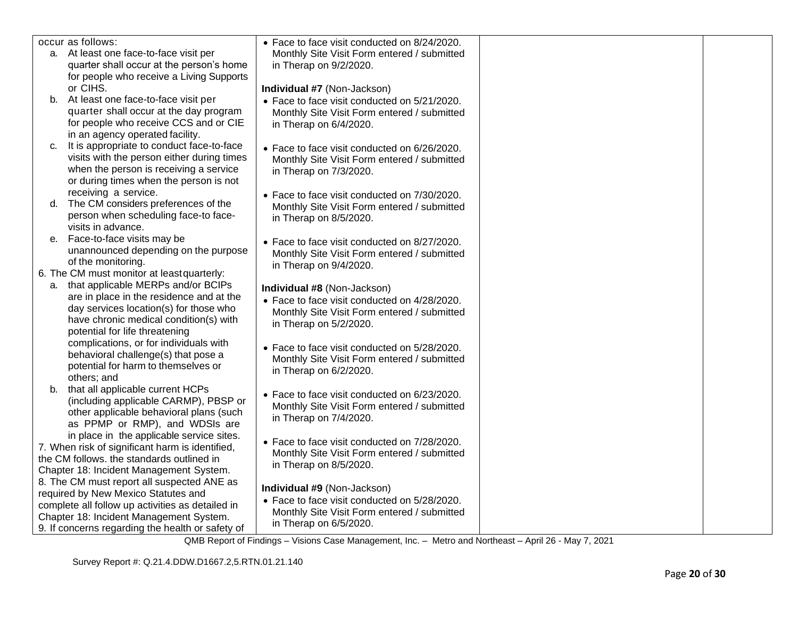| occur as follows:                                                                             | • Face to face visit conducted on 8/24/2020.                          |  |
|-----------------------------------------------------------------------------------------------|-----------------------------------------------------------------------|--|
| a. At least one face-to-face visit per                                                        | Monthly Site Visit Form entered / submitted                           |  |
| quarter shall occur at the person's home                                                      | in Therap on 9/2/2020.                                                |  |
| for people who receive a Living Supports                                                      |                                                                       |  |
| or CIHS.                                                                                      | Individual #7 (Non-Jackson)                                           |  |
| b. At least one face-to-face visit per                                                        | • Face to face visit conducted on 5/21/2020.                          |  |
| quarter shall occur at the day program                                                        | Monthly Site Visit Form entered / submitted                           |  |
| for people who receive CCS and or CIE                                                         | in Therap on 6/4/2020.                                                |  |
| in an agency operated facility.                                                               |                                                                       |  |
| It is appropriate to conduct face-to-face<br>C.<br>visits with the person either during times | • Face to face visit conducted on 6/26/2020.                          |  |
| when the person is receiving a service                                                        | Monthly Site Visit Form entered / submitted                           |  |
| or during times when the person is not                                                        | in Therap on 7/3/2020.                                                |  |
| receiving a service.                                                                          |                                                                       |  |
| The CM considers preferences of the<br>d.                                                     | • Face to face visit conducted on 7/30/2020.                          |  |
| person when scheduling face-to face-                                                          | Monthly Site Visit Form entered / submitted<br>in Therap on 8/5/2020. |  |
| visits in advance.                                                                            |                                                                       |  |
| Face-to-face visits may be<br>е.                                                              | • Face to face visit conducted on 8/27/2020.                          |  |
| unannounced depending on the purpose                                                          | Monthly Site Visit Form entered / submitted                           |  |
| of the monitoring.                                                                            | in Therap on 9/4/2020.                                                |  |
| 6. The CM must monitor at least quarterly:                                                    |                                                                       |  |
| a. that applicable MERPs and/or BCIPs                                                         | Individual #8 (Non-Jackson)                                           |  |
| are in place in the residence and at the                                                      | • Face to face visit conducted on 4/28/2020.                          |  |
| day services location(s) for those who                                                        | Monthly Site Visit Form entered / submitted                           |  |
| have chronic medical condition(s) with                                                        | in Therap on 5/2/2020.                                                |  |
| potential for life threatening                                                                |                                                                       |  |
| complications, or for individuals with                                                        | • Face to face visit conducted on 5/28/2020.                          |  |
| behavioral challenge(s) that pose a                                                           | Monthly Site Visit Form entered / submitted                           |  |
| potential for harm to themselves or                                                           | in Therap on 6/2/2020.                                                |  |
| others; and                                                                                   |                                                                       |  |
| b. that all applicable current HCPs<br>(including applicable CARMP), PBSP or                  | • Face to face visit conducted on 6/23/2020.                          |  |
| other applicable behavioral plans (such                                                       | Monthly Site Visit Form entered / submitted                           |  |
| as PPMP or RMP), and WDSIs are                                                                | in Therap on 7/4/2020.                                                |  |
| in place in the applicable service sites.                                                     |                                                                       |  |
| 7. When risk of significant harm is identified,                                               | • Face to face visit conducted on 7/28/2020.                          |  |
| the CM follows. the standards outlined in                                                     | Monthly Site Visit Form entered / submitted                           |  |
| Chapter 18: Incident Management System.                                                       | in Therap on 8/5/2020.                                                |  |
| 8. The CM must report all suspected ANE as                                                    |                                                                       |  |
| required by New Mexico Statutes and                                                           | Individual #9 (Non-Jackson)                                           |  |
| complete all follow up activities as detailed in                                              | • Face to face visit conducted on 5/28/2020.                          |  |
| Chapter 18: Incident Management System.                                                       | Monthly Site Visit Form entered / submitted                           |  |
| 9. If concerns regarding the health or safety of                                              | in Therap on 6/5/2020.                                                |  |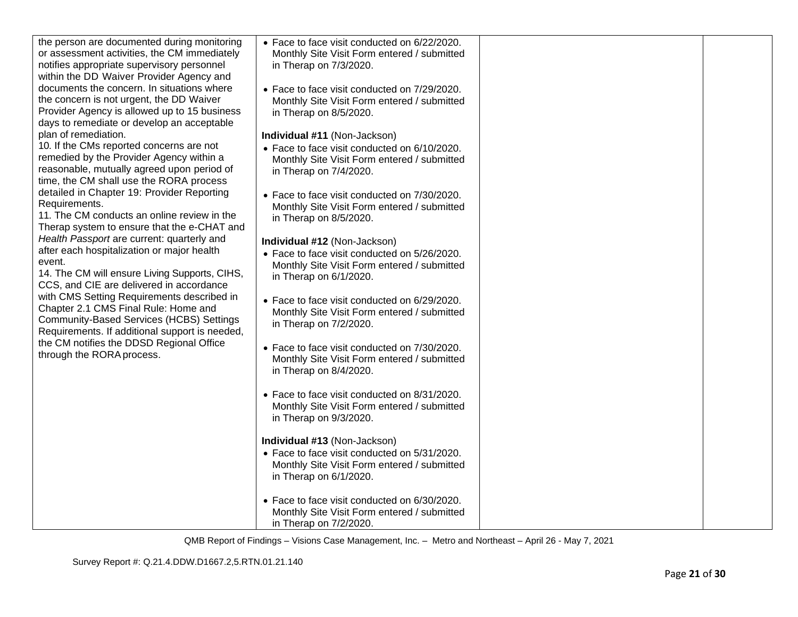| the person are documented during monitoring<br>or assessment activities, the CM immediately<br>notifies appropriate supervisory personnel<br>within the DD Waiver Provider Agency and<br>documents the concern. In situations where<br>the concern is not urgent, the DD Waiver<br>Provider Agency is allowed up to 15 business<br>days to remediate or develop an acceptable<br>plan of remediation.<br>10. If the CMs reported concerns are not<br>remedied by the Provider Agency within a<br>reasonable, mutually agreed upon period of<br>time, the CM shall use the RORA process<br>detailed in Chapter 19: Provider Reporting<br>Requirements.<br>11. The CM conducts an online review in the<br>Therap system to ensure that the e-CHAT and<br>Health Passport are current: quarterly and<br>after each hospitalization or major health<br>event.<br>14. The CM will ensure Living Supports, CIHS,<br>CCS, and CIE are delivered in accordance<br>with CMS Setting Requirements described in<br>Chapter 2.1 CMS Final Rule: Home and<br><b>Community-Based Services (HCBS) Settings</b><br>Requirements. If additional support is needed,<br>the CM notifies the DDSD Regional Office<br>through the RORA process. | • Face to face visit conducted on 6/22/2020.<br>Monthly Site Visit Form entered / submitted<br>in Therap on 7/3/2020.<br>• Face to face visit conducted on 7/29/2020.<br>Monthly Site Visit Form entered / submitted<br>in Therap on 8/5/2020.<br>Individual #11 (Non-Jackson)<br>• Face to face visit conducted on 6/10/2020.<br>Monthly Site Visit Form entered / submitted<br>in Therap on 7/4/2020.<br>• Face to face visit conducted on 7/30/2020.<br>Monthly Site Visit Form entered / submitted<br>in Therap on 8/5/2020.<br>Individual #12 (Non-Jackson)<br>• Face to face visit conducted on 5/26/2020.<br>Monthly Site Visit Form entered / submitted<br>in Therap on 6/1/2020.<br>• Face to face visit conducted on 6/29/2020.<br>Monthly Site Visit Form entered / submitted<br>in Therap on 7/2/2020.<br>• Face to face visit conducted on 7/30/2020.<br>Monthly Site Visit Form entered / submitted<br>in Therap on 8/4/2020.<br>• Face to face visit conducted on 8/31/2020.<br>Monthly Site Visit Form entered / submitted<br>in Therap on 9/3/2020.<br>Individual #13 (Non-Jackson)<br>• Face to face visit conducted on 5/31/2020.<br>Monthly Site Visit Form entered / submitted<br>in Therap on 6/1/2020. |  |
|----------------------------------------------------------------------------------------------------------------------------------------------------------------------------------------------------------------------------------------------------------------------------------------------------------------------------------------------------------------------------------------------------------------------------------------------------------------------------------------------------------------------------------------------------------------------------------------------------------------------------------------------------------------------------------------------------------------------------------------------------------------------------------------------------------------------------------------------------------------------------------------------------------------------------------------------------------------------------------------------------------------------------------------------------------------------------------------------------------------------------------------------------------------------------------------------------------------------------|-------------------------------------------------------------------------------------------------------------------------------------------------------------------------------------------------------------------------------------------------------------------------------------------------------------------------------------------------------------------------------------------------------------------------------------------------------------------------------------------------------------------------------------------------------------------------------------------------------------------------------------------------------------------------------------------------------------------------------------------------------------------------------------------------------------------------------------------------------------------------------------------------------------------------------------------------------------------------------------------------------------------------------------------------------------------------------------------------------------------------------------------------------------------------------------------------------------------------------|--|
|                                                                                                                                                                                                                                                                                                                                                                                                                                                                                                                                                                                                                                                                                                                                                                                                                                                                                                                                                                                                                                                                                                                                                                                                                            | • Face to face visit conducted on 6/30/2020.<br>Monthly Site Visit Form entered / submitted<br>in Therap on 7/2/2020.                                                                                                                                                                                                                                                                                                                                                                                                                                                                                                                                                                                                                                                                                                                                                                                                                                                                                                                                                                                                                                                                                                         |  |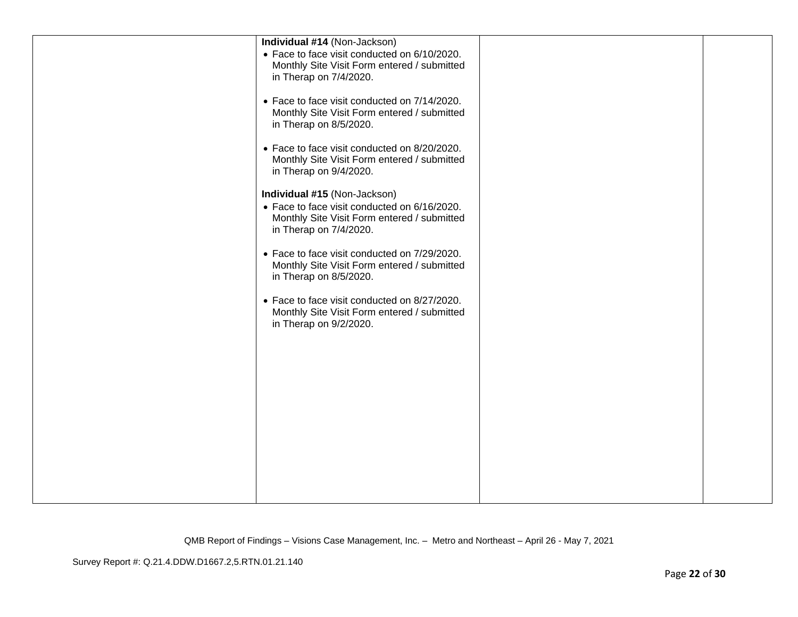| Individual #14 (Non-Jackson)                                                 |  |
|------------------------------------------------------------------------------|--|
| • Face to face visit conducted on 6/10/2020.                                 |  |
| Monthly Site Visit Form entered / submitted<br>in Therap on 7/4/2020.        |  |
|                                                                              |  |
| • Face to face visit conducted on 7/14/2020.                                 |  |
| Monthly Site Visit Form entered / submitted<br>in Therap on 8/5/2020.        |  |
|                                                                              |  |
| • Face to face visit conducted on 8/20/2020.                                 |  |
| Monthly Site Visit Form entered / submitted<br>in Therap on 9/4/2020.        |  |
|                                                                              |  |
| Individual #15 (Non-Jackson)<br>• Face to face visit conducted on 6/16/2020. |  |
| Monthly Site Visit Form entered / submitted                                  |  |
| in Therap on 7/4/2020.                                                       |  |
| • Face to face visit conducted on 7/29/2020.                                 |  |
| Monthly Site Visit Form entered / submitted                                  |  |
| in Therap on 8/5/2020.                                                       |  |
| • Face to face visit conducted on 8/27/2020.                                 |  |
| Monthly Site Visit Form entered / submitted<br>in Therap on 9/2/2020.        |  |
|                                                                              |  |
|                                                                              |  |
|                                                                              |  |
|                                                                              |  |
|                                                                              |  |
|                                                                              |  |
|                                                                              |  |
|                                                                              |  |
|                                                                              |  |
|                                                                              |  |
|                                                                              |  |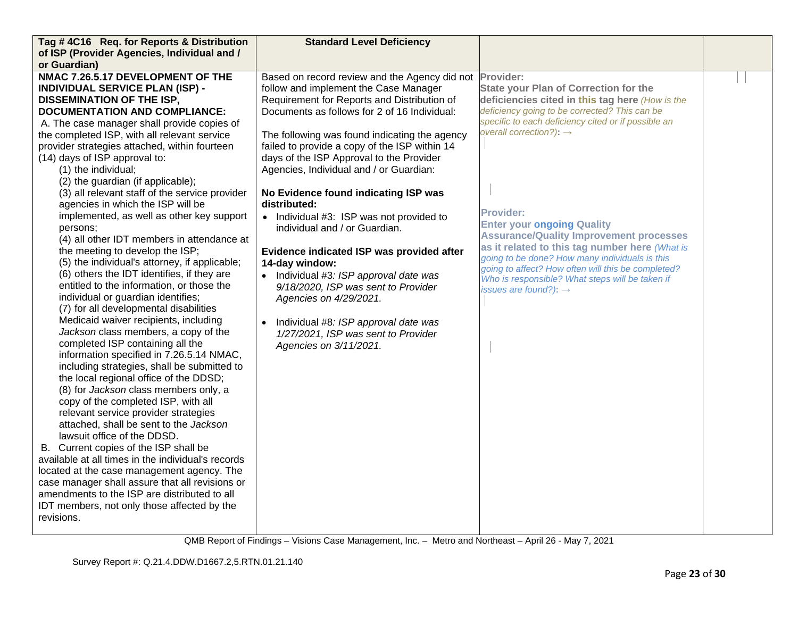| Tag #4C16 Req. for Reports & Distribution          | <b>Standard Level Deficiency</b>                        |                                                                                                      |  |
|----------------------------------------------------|---------------------------------------------------------|------------------------------------------------------------------------------------------------------|--|
| of ISP (Provider Agencies, Individual and /        |                                                         |                                                                                                      |  |
| or Guardian)                                       |                                                         |                                                                                                      |  |
| NMAC 7.26.5.17 DEVELOPMENT OF THE                  | Based on record review and the Agency did not Provider: |                                                                                                      |  |
| <b>INDIVIDUAL SERVICE PLAN (ISP) -</b>             | follow and implement the Case Manager                   | <b>State your Plan of Correction for the</b>                                                         |  |
| <b>DISSEMINATION OF THE ISP,</b>                   | Requirement for Reports and Distribution of             | deficiencies cited in this tag here (How is the                                                      |  |
| <b>DOCUMENTATION AND COMPLIANCE:</b>               | Documents as follows for 2 of 16 Individual:            | deficiency going to be corrected? This can be                                                        |  |
| A. The case manager shall provide copies of        |                                                         | specific to each deficiency cited or if possible an                                                  |  |
| the completed ISP, with all relevant service       | The following was found indicating the agency           | overall correction?): $\rightarrow$                                                                  |  |
| provider strategies attached, within fourteen      | failed to provide a copy of the ISP within 14           |                                                                                                      |  |
| (14) days of ISP approval to:                      | days of the ISP Approval to the Provider                |                                                                                                      |  |
| (1) the individual;                                | Agencies, Individual and / or Guardian:                 |                                                                                                      |  |
| (2) the guardian (if applicable);                  |                                                         |                                                                                                      |  |
| (3) all relevant staff of the service provider     | No Evidence found indicating ISP was                    |                                                                                                      |  |
| agencies in which the ISP will be                  | distributed:                                            |                                                                                                      |  |
| implemented, as well as other key support          | • Individual #3: ISP was not provided to                | <b>Provider:</b>                                                                                     |  |
| persons:                                           | individual and / or Guardian.                           | <b>Enter your ongoing Quality</b>                                                                    |  |
| (4) all other IDT members in attendance at         |                                                         | <b>Assurance/Quality Improvement processes</b>                                                       |  |
| the meeting to develop the ISP;                    | Evidence indicated ISP was provided after               | as it related to this tag number here (What is                                                       |  |
| (5) the individual's attorney, if applicable;      | 14-day window:                                          | going to be done? How many individuals is this<br>going to affect? How often will this be completed? |  |
| (6) others the IDT identifies, if they are         | Individual #3: ISP approval date was                    | Who is responsible? What steps will be taken if                                                      |  |
| entitled to the information, or those the          | 9/18/2020, ISP was sent to Provider                     | issues are found?): $\rightarrow$                                                                    |  |
| individual or guardian identifies;                 | Agencies on 4/29/2021.                                  |                                                                                                      |  |
| (7) for all developmental disabilities             |                                                         |                                                                                                      |  |
| Medicaid waiver recipients, including              | Individual #8: ISP approval date was<br>$\bullet$       |                                                                                                      |  |
| Jackson class members, a copy of the               | 1/27/2021, ISP was sent to Provider                     |                                                                                                      |  |
| completed ISP containing all the                   | Agencies on 3/11/2021.                                  |                                                                                                      |  |
| information specified in 7.26.5.14 NMAC,           |                                                         |                                                                                                      |  |
| including strategies, shall be submitted to        |                                                         |                                                                                                      |  |
| the local regional office of the DDSD;             |                                                         |                                                                                                      |  |
| (8) for Jackson class members only, a              |                                                         |                                                                                                      |  |
| copy of the completed ISP, with all                |                                                         |                                                                                                      |  |
| relevant service provider strategies               |                                                         |                                                                                                      |  |
| attached, shall be sent to the Jackson             |                                                         |                                                                                                      |  |
| lawsuit office of the DDSD.                        |                                                         |                                                                                                      |  |
| B. Current copies of the ISP shall be              |                                                         |                                                                                                      |  |
| available at all times in the individual's records |                                                         |                                                                                                      |  |
| located at the case management agency. The         |                                                         |                                                                                                      |  |
| case manager shall assure that all revisions or    |                                                         |                                                                                                      |  |
| amendments to the ISP are distributed to all       |                                                         |                                                                                                      |  |
| IDT members, not only those affected by the        |                                                         |                                                                                                      |  |
| revisions.                                         |                                                         |                                                                                                      |  |
|                                                    |                                                         |                                                                                                      |  |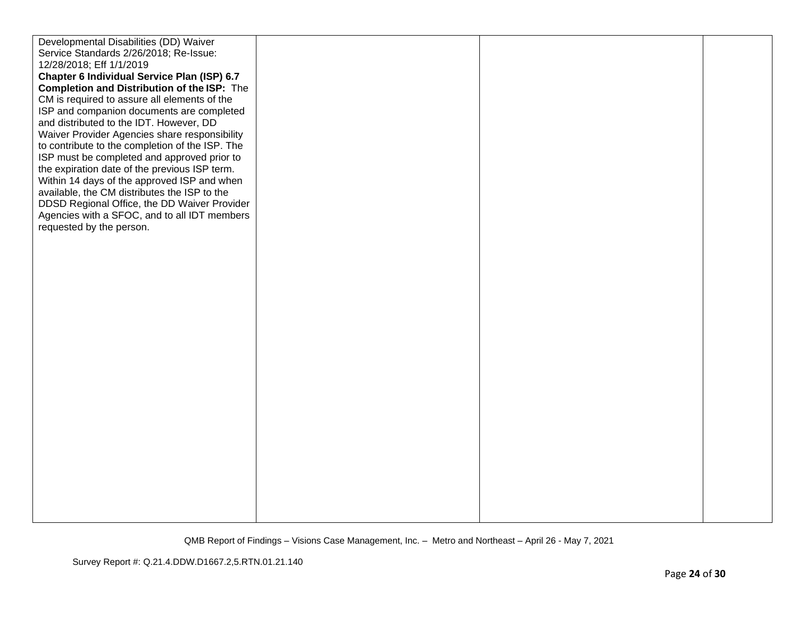| Developmental Disabilities (DD) Waiver          |  |  |
|-------------------------------------------------|--|--|
| Service Standards 2/26/2018; Re-Issue:          |  |  |
| 12/28/2018; Eff 1/1/2019                        |  |  |
| Chapter 6 Individual Service Plan (ISP) 6.7     |  |  |
| Completion and Distribution of the ISP: The     |  |  |
| CM is required to assure all elements of the    |  |  |
| ISP and companion documents are completed       |  |  |
| and distributed to the IDT. However, DD         |  |  |
| Waiver Provider Agencies share responsibility   |  |  |
| to contribute to the completion of the ISP. The |  |  |
| ISP must be completed and approved prior to     |  |  |
| the expiration date of the previous ISP term.   |  |  |
| Within 14 days of the approved ISP and when     |  |  |
| available, the CM distributes the ISP to the    |  |  |
| DDSD Regional Office, the DD Waiver Provider    |  |  |
| Agencies with a SFOC, and to all IDT members    |  |  |
| requested by the person.                        |  |  |
|                                                 |  |  |
|                                                 |  |  |
|                                                 |  |  |
|                                                 |  |  |
|                                                 |  |  |
|                                                 |  |  |
|                                                 |  |  |
|                                                 |  |  |
|                                                 |  |  |
|                                                 |  |  |
|                                                 |  |  |
|                                                 |  |  |
|                                                 |  |  |
|                                                 |  |  |
|                                                 |  |  |
|                                                 |  |  |
|                                                 |  |  |
|                                                 |  |  |
|                                                 |  |  |
|                                                 |  |  |
|                                                 |  |  |
|                                                 |  |  |
|                                                 |  |  |
|                                                 |  |  |
|                                                 |  |  |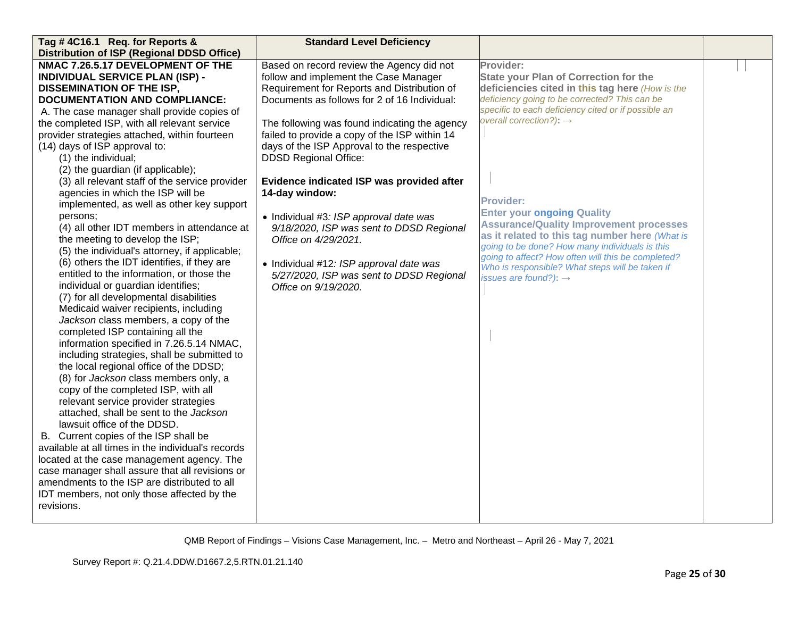| Tag #4C16.1 Req. for Reports &                     | <b>Standard Level Deficiency</b>              |                                                                                                      |  |
|----------------------------------------------------|-----------------------------------------------|------------------------------------------------------------------------------------------------------|--|
| <b>Distribution of ISP (Regional DDSD Office)</b>  |                                               |                                                                                                      |  |
| NMAC 7.26.5.17 DEVELOPMENT OF THE                  | Based on record review the Agency did not     | Provider:                                                                                            |  |
| <b>INDIVIDUAL SERVICE PLAN (ISP) -</b>             | follow and implement the Case Manager         | <b>State your Plan of Correction for the</b>                                                         |  |
| <b>DISSEMINATION OF THE ISP,</b>                   | Requirement for Reports and Distribution of   | deficiencies cited in this tag here (How is the                                                      |  |
| <b>DOCUMENTATION AND COMPLIANCE:</b>               | Documents as follows for 2 of 16 Individual:  | deficiency going to be corrected? This can be                                                        |  |
| A. The case manager shall provide copies of        |                                               | specific to each deficiency cited or if possible an                                                  |  |
| the completed ISP, with all relevant service       | The following was found indicating the agency | overall correction?): $\rightarrow$                                                                  |  |
| provider strategies attached, within fourteen      | failed to provide a copy of the ISP within 14 |                                                                                                      |  |
| (14) days of ISP approval to:                      | days of the ISP Approval to the respective    |                                                                                                      |  |
| (1) the individual;                                | <b>DDSD Regional Office:</b>                  |                                                                                                      |  |
| (2) the guardian (if applicable);                  |                                               |                                                                                                      |  |
| (3) all relevant staff of the service provider     | Evidence indicated ISP was provided after     |                                                                                                      |  |
| agencies in which the ISP will be                  | 14-day window:                                |                                                                                                      |  |
| implemented, as well as other key support          |                                               | <b>Provider:</b>                                                                                     |  |
| persons;                                           | • Individual #3: ISP approval date was        | <b>Enter your ongoing Quality</b>                                                                    |  |
| (4) all other IDT members in attendance at         | 9/18/2020, ISP was sent to DDSD Regional      | <b>Assurance/Quality Improvement processes</b>                                                       |  |
| the meeting to develop the ISP;                    | Office on 4/29/2021.                          | as it related to this tag number here (What is                                                       |  |
| (5) the individual's attorney, if applicable;      |                                               | going to be done? How many individuals is this<br>going to affect? How often will this be completed? |  |
| (6) others the IDT identifies, if they are         | • Individual #12: ISP approval date was       | Who is responsible? What steps will be taken if                                                      |  |
| entitled to the information, or those the          | 5/27/2020, ISP was sent to DDSD Regional      | issues are found?): $\rightarrow$                                                                    |  |
| individual or guardian identifies;                 | Office on 9/19/2020.                          |                                                                                                      |  |
| (7) for all developmental disabilities             |                                               |                                                                                                      |  |
| Medicaid waiver recipients, including              |                                               |                                                                                                      |  |
| Jackson class members, a copy of the               |                                               |                                                                                                      |  |
| completed ISP containing all the                   |                                               |                                                                                                      |  |
| information specified in 7.26.5.14 NMAC,           |                                               |                                                                                                      |  |
| including strategies, shall be submitted to        |                                               |                                                                                                      |  |
| the local regional office of the DDSD;             |                                               |                                                                                                      |  |
| (8) for Jackson class members only, a              |                                               |                                                                                                      |  |
| copy of the completed ISP, with all                |                                               |                                                                                                      |  |
| relevant service provider strategies               |                                               |                                                                                                      |  |
| attached, shall be sent to the Jackson             |                                               |                                                                                                      |  |
| lawsuit office of the DDSD.                        |                                               |                                                                                                      |  |
| B. Current copies of the ISP shall be              |                                               |                                                                                                      |  |
| available at all times in the individual's records |                                               |                                                                                                      |  |
| located at the case management agency. The         |                                               |                                                                                                      |  |
| case manager shall assure that all revisions or    |                                               |                                                                                                      |  |
| amendments to the ISP are distributed to all       |                                               |                                                                                                      |  |
| IDT members, not only those affected by the        |                                               |                                                                                                      |  |
| revisions.                                         |                                               |                                                                                                      |  |
|                                                    |                                               |                                                                                                      |  |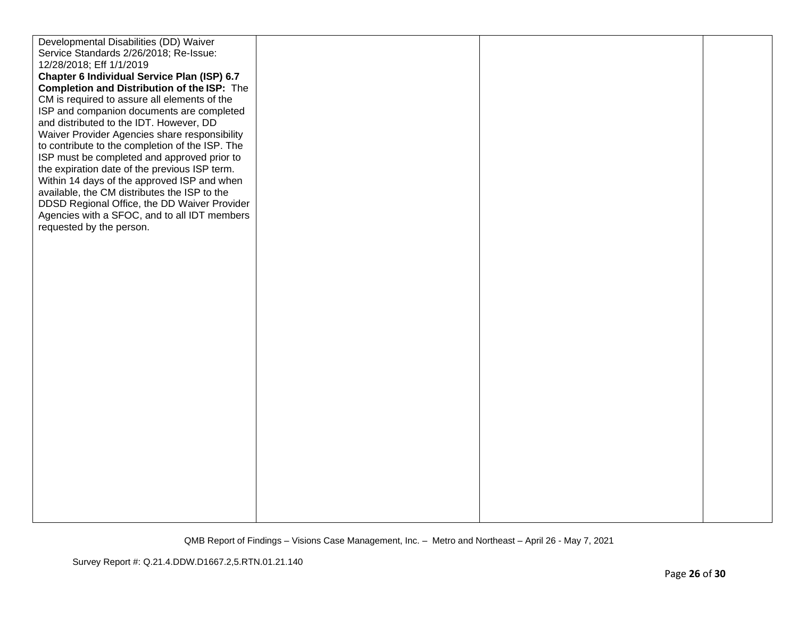| Developmental Disabilities (DD) Waiver          |  |  |
|-------------------------------------------------|--|--|
| Service Standards 2/26/2018; Re-Issue:          |  |  |
| 12/28/2018; Eff 1/1/2019                        |  |  |
| Chapter 6 Individual Service Plan (ISP) 6.7     |  |  |
| Completion and Distribution of the ISP: The     |  |  |
| CM is required to assure all elements of the    |  |  |
| ISP and companion documents are completed       |  |  |
| and distributed to the IDT. However, DD         |  |  |
| Waiver Provider Agencies share responsibility   |  |  |
| to contribute to the completion of the ISP. The |  |  |
| ISP must be completed and approved prior to     |  |  |
| the expiration date of the previous ISP term.   |  |  |
| Within 14 days of the approved ISP and when     |  |  |
| available, the CM distributes the ISP to the    |  |  |
| DDSD Regional Office, the DD Waiver Provider    |  |  |
| Agencies with a SFOC, and to all IDT members    |  |  |
| requested by the person.                        |  |  |
|                                                 |  |  |
|                                                 |  |  |
|                                                 |  |  |
|                                                 |  |  |
|                                                 |  |  |
|                                                 |  |  |
|                                                 |  |  |
|                                                 |  |  |
|                                                 |  |  |
|                                                 |  |  |
|                                                 |  |  |
|                                                 |  |  |
|                                                 |  |  |
|                                                 |  |  |
|                                                 |  |  |
|                                                 |  |  |
|                                                 |  |  |
|                                                 |  |  |
|                                                 |  |  |
|                                                 |  |  |
|                                                 |  |  |
|                                                 |  |  |
|                                                 |  |  |
|                                                 |  |  |
|                                                 |  |  |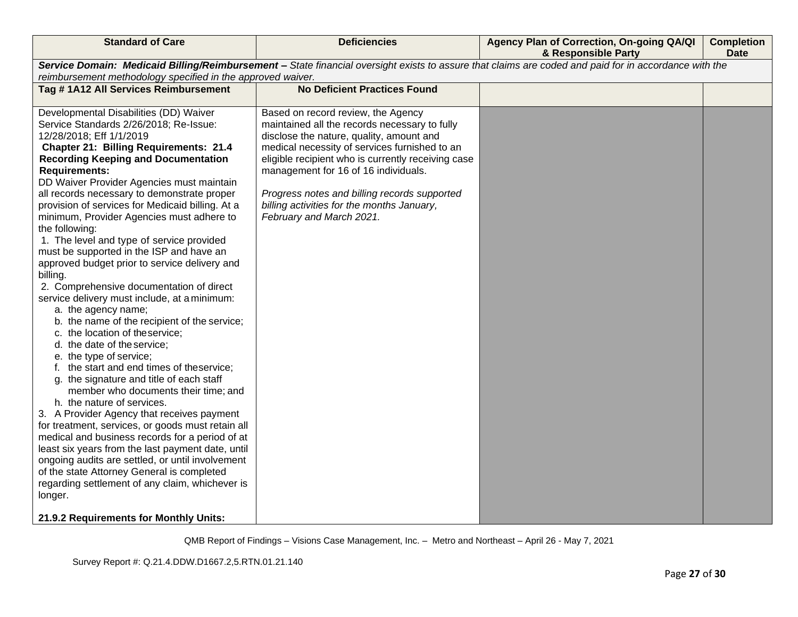| <b>Standard of Care</b>                                                                                                                                                                                                                                                                                                                                                                                                                                                                                                                                                                                                                                                                                                                                                                                                                                                                                                                                                                                                                                                                                                                                                                                                                                                                                                                                                                                                                                     | <b>Deficiencies</b>                                                                                                                                                                                                                                                                                                                                                                                      | Agency Plan of Correction, On-going QA/QI<br>& Responsible Party | <b>Completion</b><br><b>Date</b> |
|-------------------------------------------------------------------------------------------------------------------------------------------------------------------------------------------------------------------------------------------------------------------------------------------------------------------------------------------------------------------------------------------------------------------------------------------------------------------------------------------------------------------------------------------------------------------------------------------------------------------------------------------------------------------------------------------------------------------------------------------------------------------------------------------------------------------------------------------------------------------------------------------------------------------------------------------------------------------------------------------------------------------------------------------------------------------------------------------------------------------------------------------------------------------------------------------------------------------------------------------------------------------------------------------------------------------------------------------------------------------------------------------------------------------------------------------------------------|----------------------------------------------------------------------------------------------------------------------------------------------------------------------------------------------------------------------------------------------------------------------------------------------------------------------------------------------------------------------------------------------------------|------------------------------------------------------------------|----------------------------------|
| Service Domain: Medicaid Billing/Reimbursement - State financial oversight exists to assure that claims are coded and paid for in accordance with the<br>reimbursement methodology specified in the approved waiver.                                                                                                                                                                                                                                                                                                                                                                                                                                                                                                                                                                                                                                                                                                                                                                                                                                                                                                                                                                                                                                                                                                                                                                                                                                        |                                                                                                                                                                                                                                                                                                                                                                                                          |                                                                  |                                  |
| Tag #1A12 All Services Reimbursement                                                                                                                                                                                                                                                                                                                                                                                                                                                                                                                                                                                                                                                                                                                                                                                                                                                                                                                                                                                                                                                                                                                                                                                                                                                                                                                                                                                                                        | <b>No Deficient Practices Found</b>                                                                                                                                                                                                                                                                                                                                                                      |                                                                  |                                  |
| Developmental Disabilities (DD) Waiver<br>Service Standards 2/26/2018; Re-Issue:<br>12/28/2018; Eff 1/1/2019<br><b>Chapter 21: Billing Requirements: 21.4</b><br><b>Recording Keeping and Documentation</b><br><b>Requirements:</b><br>DD Waiver Provider Agencies must maintain<br>all records necessary to demonstrate proper<br>provision of services for Medicaid billing. At a<br>minimum, Provider Agencies must adhere to<br>the following:<br>1. The level and type of service provided<br>must be supported in the ISP and have an<br>approved budget prior to service delivery and<br>billing.<br>2. Comprehensive documentation of direct<br>service delivery must include, at a minimum:<br>a. the agency name;<br>b. the name of the recipient of the service;<br>c. the location of theservice;<br>d. the date of the service;<br>e. the type of service;<br>f. the start and end times of theservice;<br>g. the signature and title of each staff<br>member who documents their time; and<br>h. the nature of services.<br>3. A Provider Agency that receives payment<br>for treatment, services, or goods must retain all<br>medical and business records for a period of at<br>least six years from the last payment date, until<br>ongoing audits are settled, or until involvement<br>of the state Attorney General is completed<br>regarding settlement of any claim, whichever is<br>longer.<br>21.9.2 Requirements for Monthly Units: | Based on record review, the Agency<br>maintained all the records necessary to fully<br>disclose the nature, quality, amount and<br>medical necessity of services furnished to an<br>eligible recipient who is currently receiving case<br>management for 16 of 16 individuals.<br>Progress notes and billing records supported<br>billing activities for the months January,<br>February and March 2021. |                                                                  |                                  |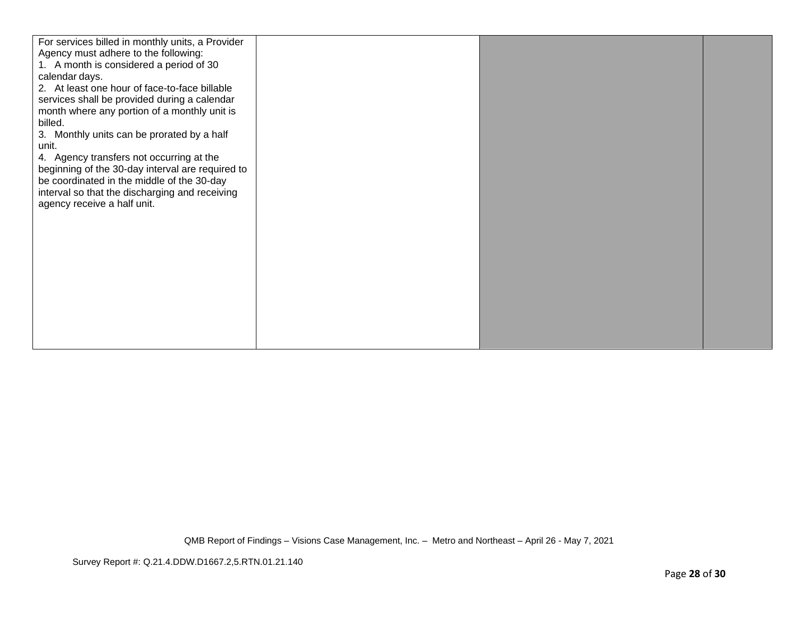| For services billed in monthly units, a Provider<br>Agency must adhere to the following:<br>1. A month is considered a period of 30<br>calendar days.<br>2. At least one hour of face-to-face billable<br>services shall be provided during a calendar<br>month where any portion of a monthly unit is<br>billed.<br>3. Monthly units can be prorated by a half<br>unit.<br>4. Agency transfers not occurring at the<br>beginning of the 30-day interval are required to<br>be coordinated in the middle of the 30-day<br>interval so that the discharging and receiving<br>agency receive a half unit. |  |  |
|---------------------------------------------------------------------------------------------------------------------------------------------------------------------------------------------------------------------------------------------------------------------------------------------------------------------------------------------------------------------------------------------------------------------------------------------------------------------------------------------------------------------------------------------------------------------------------------------------------|--|--|
|                                                                                                                                                                                                                                                                                                                                                                                                                                                                                                                                                                                                         |  |  |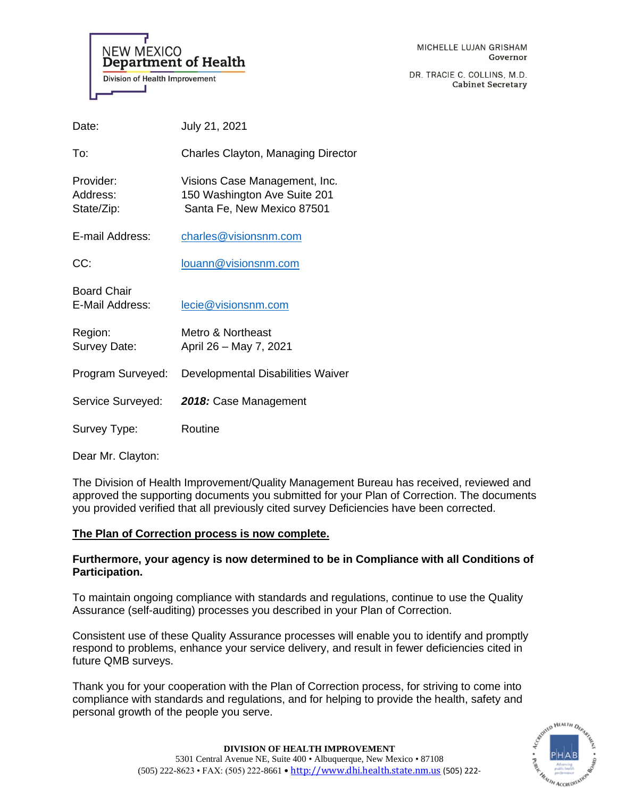**NEW MEXICO Department of Health Division of Health Improvement** 

DR. TRACIE C. COLLINS, M.D. **Cabinet Secretary** 

| Date:                                 | July 21, 2021                                                                               |
|---------------------------------------|---------------------------------------------------------------------------------------------|
| To:                                   | Charles Clayton, Managing Director                                                          |
| Provider:<br>Address:<br>State/Zip:   | Visions Case Management, Inc.<br>150 Washington Ave Suite 201<br>Santa Fe, New Mexico 87501 |
| E-mail Address:                       | charles@visionsnm.com                                                                       |
| CC:                                   | louann@visionsnm.com                                                                        |
| <b>Board Chair</b><br>E-Mail Address: | lecie@visionsnm.com                                                                         |
| Region:<br>Survey Date:               | Metro & Northeast<br>April 26 - May 7, 2021                                                 |
| Program Surveyed:                     | Developmental Disabilities Waiver                                                           |
| Service Surveyed:                     | 2018: Case Management                                                                       |
| Survey Type:                          | Routine                                                                                     |
|                                       |                                                                                             |

Dear Mr. Clayton:

The Division of Health Improvement/Quality Management Bureau has received, reviewed and approved the supporting documents you submitted for your Plan of Correction. The documents you provided verified that all previously cited survey Deficiencies have been corrected.

# **The Plan of Correction process is now complete.**

# **Furthermore, your agency is now determined to be in Compliance with all Conditions of Participation.**

To maintain ongoing compliance with standards and regulations, continue to use the Quality Assurance (self-auditing) processes you described in your Plan of Correction.

Consistent use of these Quality Assurance processes will enable you to identify and promptly respond to problems, enhance your service delivery, and result in fewer deficiencies cited in future QMB surveys.

Thank you for your cooperation with the Plan of Correction process, for striving to come into compliance with standards and regulations, and for helping to provide the health, safety and personal growth of the people you serve.